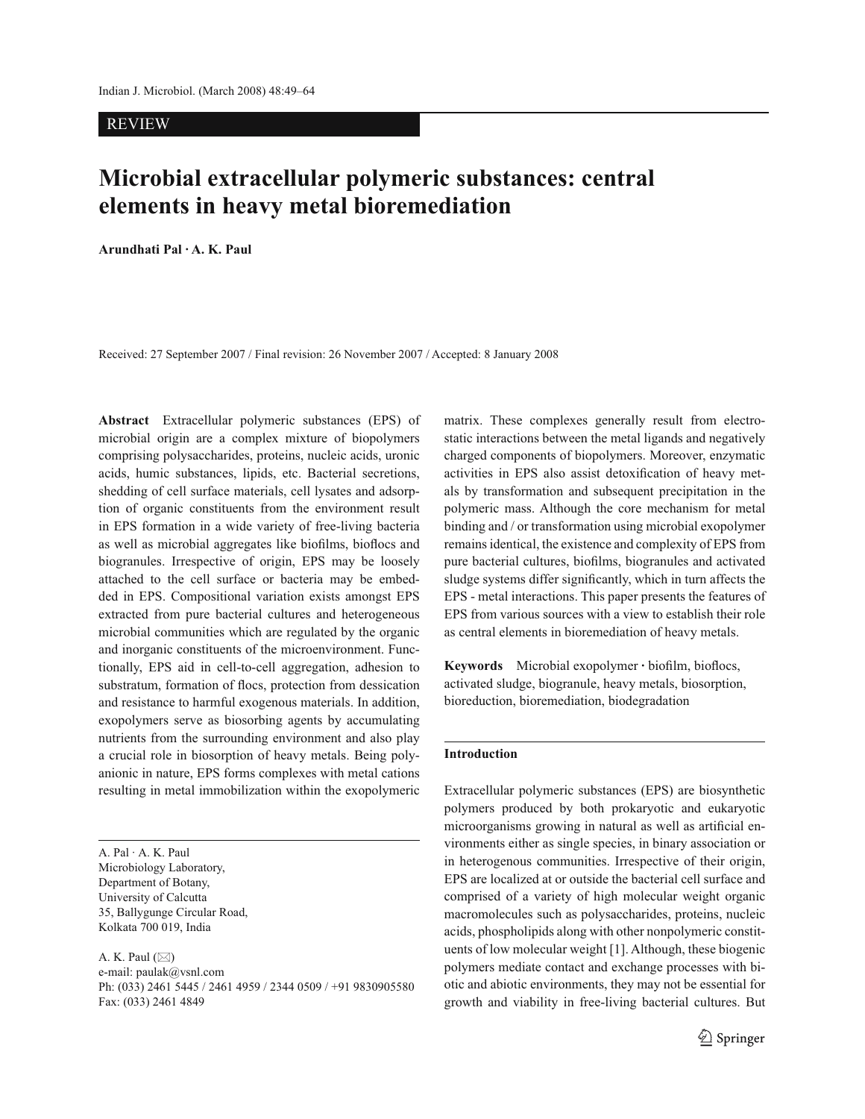# REVIEW

# **Microbial extracellular polymeric substances: central elements in heavy metal bioremediation**

**Arundhati Pal · A. K. Paul**

Received: 27 September 2007 / Final revision: 26 November 2007 / Accepted: 8 January 2008

**Abstract** Extracellular polymeric substances (EPS) of microbial origin are a complex mixture of biopolymers comprising polysaccharides, proteins, nucleic acids, uronic acids, humic substances, lipids, etc. Bacterial secretions, shedding of cell surface materials, cell lysates and adsorption of organic constituents from the environment result in EPS formation in a wide variety of free-living bacteria as well as microbial aggregates like biofilms, bioflocs and biogranules. Irrespective of origin, EPS may be loosely attached to the cell surface or bacteria may be embedded in EPS. Compositional variation exists amongst EPS extracted from pure bacterial cultures and heterogeneous microbial communities which are regulated by the organic and inorganic constituents of the microenvironment. Functionally, EPS aid in cell-to-cell aggregation, adhesion to substratum, formation of flocs, protection from dessication and resistance to harmful exogenous materials. In addition, exopolymers serve as biosorbing agents by accumulating nutrients from the surrounding environment and also play a crucial role in biosorption of heavy metals. Being polyanionic in nature, EPS forms complexes with metal cations resulting in metal immobilization within the exopolymeric

A. Pal · A. K. Paul Microbiology Laboratory, Department of Botany, University of Calcutta 35, Ballygunge Circular Road, Kolkata 700 019, India

A. K. Paul  $(\boxtimes)$ e-mail: paulak@vsnl.com Ph: (033) 2461 5445 / 2461 4959 / 2344 0509 / +91 9830905580 Fax: (033) 2461 4849

matrix. These complexes generally result from electrostatic interactions between the metal ligands and negatively charged components of biopolymers. Moreover, enzymatic activities in EPS also assist detoxification of heavy metals by transformation and subsequent precipitation in the polymeric mass. Although the core mechanism for metal binding and / or transformation using microbial exopolymer remains identical, the existence and complexity of EPS from pure bacterial cultures, biofilms, biogranules and activated sludge systems differ significantly, which in turn affects the EPS - metal interactions. This paper presents the features of EPS from various sources with a view to establish their role as central elements in bioremediation of heavy metals.

Keywords Microbial exopolymer · biofilm, bioflocs, activated sludge, biogranule, heavy metals, biosorption, bioreduction, bioremediation, biodegradation

#### **Introduction**

Extracellular polymeric substances (EPS) are biosynthetic polymers produced by both prokaryotic and eukaryotic microorganisms growing in natural as well as artificial environments either as single species, in binary association or in heterogenous communities. Irrespective of their origin, EPS are localized at or outside the bacterial cell surface and comprised of a variety of high molecular weight organic macromolecules such as polysaccharides, proteins, nucleic acids, phospholipids along with other nonpolymeric constituents of low molecular weight [1]. Although, these biogenic polymers mediate contact and exchange processes with biotic and abiotic environments, they may not be essential for growth and viability in free-living bacterial cultures. But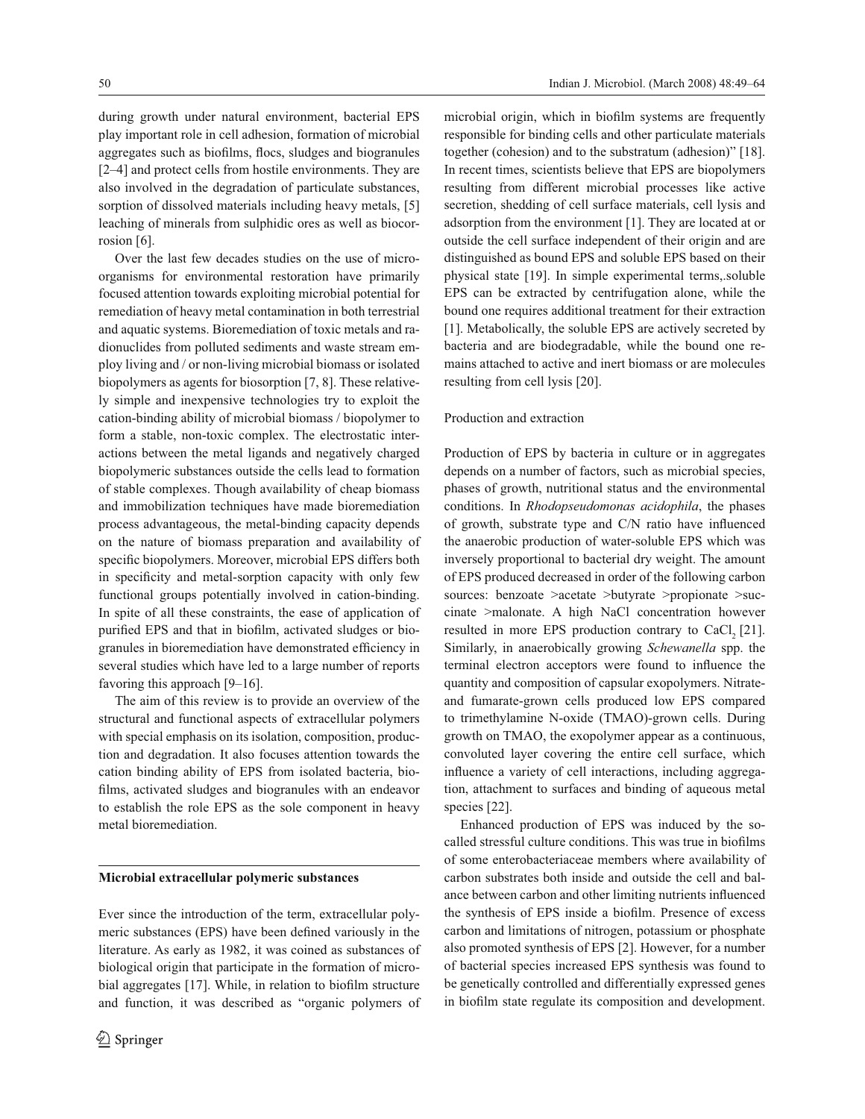during growth under natural environment, bacterial EPS play important role in cell adhesion, formation of microbial aggregates such as biofilms, flocs, sludges and biogranules [2–4] and protect cells from hostile environments. They are also involved in the degradation of particulate substances, sorption of dissolved materials including heavy metals, [5] leaching of minerals from sulphidic ores as well as biocorrosion [6].

Over the last few decades studies on the use of microorganisms for environmental restoration have primarily focused attention towards exploiting microbial potential for remediation of heavy metal contamination in both terrestrial and aquatic systems. Bioremediation of toxic metals and radionuclides from polluted sediments and waste stream employ living and / or non-living microbial biomass or isolated biopolymers as agents for biosorption [7, 8]. These relatively simple and inexpensive technologies try to exploit the cation-binding ability of microbial biomass / biopolymer to form a stable, non-toxic complex. The electrostatic interactions between the metal ligands and negatively charged biopolymeric substances outside the cells lead to formation of stable complexes. Though availability of cheap biomass and immobilization techniques have made bioremediation process advantageous, the metal-binding capacity depends on the nature of biomass preparation and availability of specific biopolymers. Moreover, microbial EPS differs both in specificity and metal-sorption capacity with only few functional groups potentially involved in cation-binding. In spite of all these constraints, the ease of application of purified EPS and that in biofilm, activated sludges or biogranules in bioremediation have demonstrated efficiency in several studies which have led to a large number of reports favoring this approach [9–16].

The aim of this review is to provide an overview of the structural and functional aspects of extracellular polymers with special emphasis on its isolation, composition, production and degradation. It also focuses attention towards the cation binding ability of EPS from isolated bacteria, biofilms, activated sludges and biogranules with an endeavor to establish the role EPS as the sole component in heavy metal bioremediation.

## **Microbial extracellular polymeric substances**

Ever since the introduction of the term, extracellular polymeric substances (EPS) have been defined variously in the literature. As early as 1982, it was coined as substances of biological origin that participate in the formation of microbial aggregates [17]. While, in relation to biofilm structure and function, it was described as "organic polymers of microbial origin, which in biofilm systems are frequently responsible for binding cells and other particulate materials together (cohesion) and to the substratum (adhesion)" [18]. In recent times, scientists believe that EPS are biopolymers resulting from different microbial processes like active secretion, shedding of cell surface materials, cell lysis and adsorption from the environment [1]. They are located at or outside the cell surface independent of their origin and are distinguished as bound EPS and soluble EPS based on their physical state [19]. In simple experimental terms,.soluble EPS can be extracted by centrifugation alone, while the bound one requires additional treatment for their extraction [1]. Metabolically, the soluble EPS are actively secreted by bacteria and are biodegradable, while the bound one remains attached to active and inert biomass or are molecules resulting from cell lysis [20].

#### Production and extraction

Production of EPS by bacteria in culture or in aggregates depends on a number of factors, such as microbial species, phases of growth, nutritional status and the environmental conditions. In *Rhodopseudomonas acidophila*, the phases of growth, substrate type and  $C/N$  ratio have influenced the anaerobic production of water-soluble EPS which was inversely proportional to bacterial dry weight. The amount of EPS produced decreased in order of the following carbon sources: benzoate >acetate >butyrate >propionate >succinate >malonate. A high NaCl concentration however resulted in more EPS production contrary to CaCl<sub>2</sub> [21]. Similarly, in anaerobically growing *Schewanella* spp. the terminal electron acceptors were found to influence the quantity and composition of capsular exopolymers. Nitrateand fumarate-grown cells produced low EPS compared to trimethylamine N-oxide (TMAO)-grown cells. During growth on TMAO, the exopolymer appear as a continuous, convoluted layer covering the entire cell surface, which influence a variety of cell interactions, including aggregation, attachment to surfaces and binding of aqueous metal species [22].

Enhanced production of EPS was induced by the socalled stressful culture conditions. This was true in biofilms of some enterobacteriaceae members where availability of carbon substrates both inside and outside the cell and balance between carbon and other limiting nutrients influenced the synthesis of EPS inside a biofilm. Presence of excess carbon and limitations of nitrogen, potassium or phosphate also promoted synthesis of EPS [2]. However, for a number of bacterial species increased EPS synthesis was found to be genetically controlled and differentially expressed genes in biofilm state regulate its composition and development.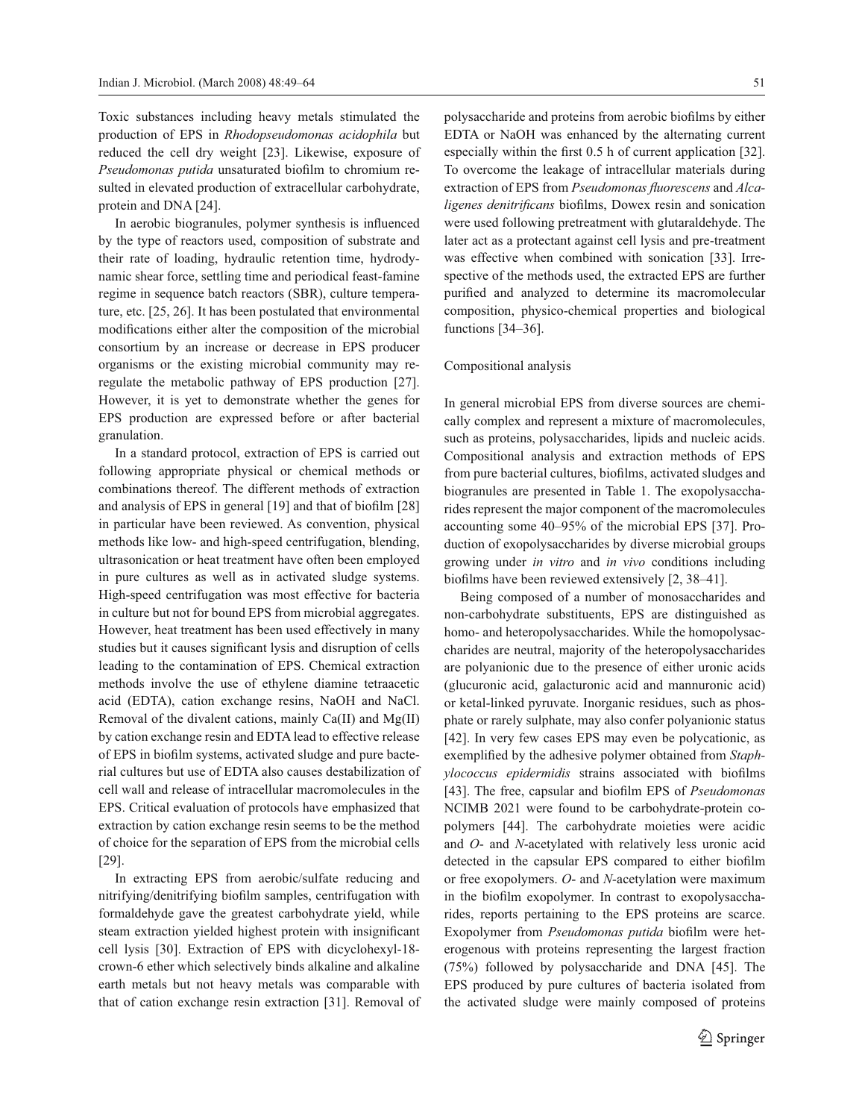Toxic substances including heavy metals stimulated the production of EPS in *Rhodopseudomonas acidophila* but reduced the cell dry weight [23]. Likewise, exposure of *Pseudomonas putida* unsaturated biofilm to chromium resulted in elevated production of extracellular carbohydrate, protein and DNA [24].

In aerobic biogranules, polymer synthesis is influenced by the type of reactors used, composition of substrate and their rate of loading, hydraulic retention time, hydrodynamic shear force, settling time and periodical feast-famine regime in sequence batch reactors (SBR), culture temperature, etc. [25, 26]. It has been postulated that environmental modifications either alter the composition of the microbial consortium by an increase or decrease in EPS producer organisms or the existing microbial community may reregulate the metabolic pathway of EPS production [27]. However, it is yet to demonstrate whether the genes for EPS production are expressed before or after bacterial granulation.

In a standard protocol, extraction of EPS is carried out following appropriate physical or chemical methods or combinations thereof. The different methods of extraction and analysis of EPS in general  $[19]$  and that of biofilm  $[28]$ in particular have been reviewed. As convention, physical methods like low- and high-speed centrifugation, blending, ultrasonication or heat treatment have often been employed in pure cultures as well as in activated sludge systems. High-speed centrifugation was most effective for bacteria in culture but not for bound EPS from microbial aggregates. However, heat treatment has been used effectively in many studies but it causes significant lysis and disruption of cells leading to the contamination of EPS. Chemical extraction methods involve the use of ethylene diamine tetraacetic acid (EDTA), cation exchange resins, NaOH and NaCl. Removal of the divalent cations, mainly Ca(II) and Mg(II) by cation exchange resin and EDTA lead to effective release of EPS in biofilm systems, activated sludge and pure bacterial cultures but use of EDTA also causes destabilization of cell wall and release of intracellular macromolecules in the EPS. Critical evaluation of protocols have emphasized that extraction by cation exchange resin seems to be the method of choice for the separation of EPS from the microbial cells [29].

In extracting EPS from aerobic/sulfate reducing and nitrifying/denitrifying biofilm samples, centrifugation with formaldehyde gave the greatest carbohydrate yield, while steam extraction yielded highest protein with insignificant cell lysis [30]. Extraction of EPS with dicyclohexyl-18 crown-6 ether which selectively binds alkaline and alkaline earth metals but not heavy metals was comparable with that of cation exchange resin extraction [31]. Removal of polysaccharide and proteins from aerobic biofilms by either EDTA or NaOH was enhanced by the alternating current especially within the first  $0.5$  h of current application [32]. To overcome the leakage of intracellular materials during extraction of EPS from *Pseudomonas fluorescens* and *Alcaligenes denitrificans* biofilms, Dowex resin and sonication were used following pretreatment with glutaraldehyde. The later act as a protectant against cell lysis and pre-treatment was effective when combined with sonication [33]. Irrespective of the methods used, the extracted EPS are further purified and analyzed to determine its macromolecular composition, physico-chemical properties and biological functions [34–36].

## Compositional analysis

In general microbial EPS from diverse sources are chemically complex and represent a mixture of macromolecules, such as proteins, polysaccharides, lipids and nucleic acids. Compositional analysis and extraction methods of EPS from pure bacterial cultures, biofilms, activated sludges and biogranules are presented in Table 1. The exopolysaccharides represent the major component of the macromolecules accounting some 40–95% of the microbial EPS [37]. Production of exopolysaccharides by diverse microbial groups growing under *in vitro* and *in vivo* conditions including biofilms have been reviewed extensively [2, 38-41].

Being composed of a number of monosaccharides and non-carbohydrate substituents, EPS are distinguished as homo- and heteropolysaccharides. While the homopolysaccharides are neutral, majority of the heteropolysaccharides are polyanionic due to the presence of either uronic acids (glucuronic acid, galacturonic acid and mannuronic acid) or ketal-linked pyruvate. Inorganic residues, such as phosphate or rarely sulphate, may also confer polyanionic status [42]. In very few cases EPS may even be polycationic, as exemplified by the adhesive polymer obtained from *Staphylococcus epidermidis* strains associated with biofilms [43]. The free, capsular and biofilm EPS of *Pseudomonas* NCIMB 2021 were found to be carbohydrate-protein copolymers [44]. The carbohydrate moieties were acidic and *O*- and *N*-acetylated with relatively less uronic acid detected in the capsular EPS compared to either biofilm or free exopolymers. *O*- and *N-*acetylation were maximum in the biofilm exopolymer. In contrast to exopolysaccharides, reports pertaining to the EPS proteins are scarce. Exopolymer from *Pseudomonas putida* biofilm were heterogenous with proteins representing the largest fraction (75%) followed by polysaccharide and DNA [45]. The EPS produced by pure cultures of bacteria isolated from the activated sludge were mainly composed of proteins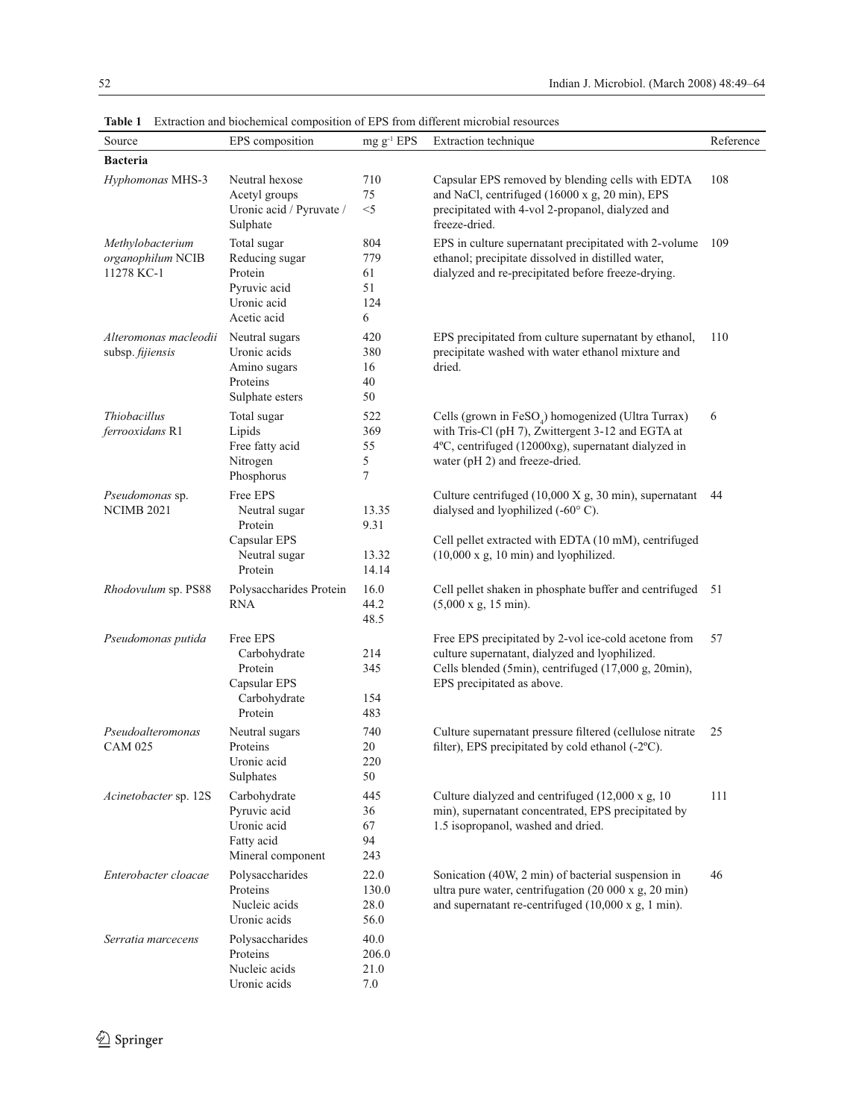| Source                                              | EPS composition                                                                        | $mg g^{-1} EPS$                    | Extraction technique                                                                                                                                                                                         | Reference |
|-----------------------------------------------------|----------------------------------------------------------------------------------------|------------------------------------|--------------------------------------------------------------------------------------------------------------------------------------------------------------------------------------------------------------|-----------|
| <b>Bacteria</b>                                     |                                                                                        |                                    |                                                                                                                                                                                                              |           |
| Hyphomonas MHS-3                                    | Neutral hexose<br>Acetyl groups<br>Uronic acid / Pyruvate /<br>Sulphate                | 710<br>75<br>$<$ 5                 | Capsular EPS removed by blending cells with EDTA<br>and NaCl, centrifuged (16000 x g, 20 min), EPS<br>precipitated with 4-vol 2-propanol, dialyzed and<br>freeze-dried.                                      | 108       |
| Methylobacterium<br>organophilum NCIB<br>11278 KC-1 | Total sugar<br>Reducing sugar<br>Protein<br>Pyruvic acid<br>Uronic acid<br>Acetic acid | 804<br>779<br>61<br>51<br>124<br>6 | EPS in culture supernatant precipitated with 2-volume<br>ethanol; precipitate dissolved in distilled water,<br>dialyzed and re-precipitated before freeze-drying.                                            | 109       |
| Alteromonas macleodii<br>subsp. fijiensis           | Neutral sugars<br>Uronic acids<br>Amino sugars<br>Proteins<br>Sulphate esters          | 420<br>380<br>16<br>40<br>50       | EPS precipitated from culture supernatant by ethanol,<br>precipitate washed with water ethanol mixture and<br>dried.                                                                                         | 110       |
| <b>Thiobacillus</b><br>ferrooxidans R1              | Total sugar<br>Lipids<br>Free fatty acid<br>Nitrogen<br>Phosphorus                     | 522<br>369<br>55<br>5<br>7         | Cells (grown in FeSO <sub>4</sub> ) homogenized (Ultra Turrax)<br>with Tris-Cl (pH 7), Zwittergent 3-12 and EGTA at<br>4°C, centrifuged (12000xg), supernatant dialyzed in<br>water (pH 2) and freeze-dried. | 6         |
| Pseudomonas sp.<br><b>NCIMB 2021</b>                | Free EPS<br>Neutral sugar<br>Protein<br>Capsular EPS<br>Neutral sugar<br>Protein       | 13.35<br>9.31<br>13.32<br>14.14    | Culture centrifuged (10,000 X g, 30 min), supernatant<br>dialysed and lyophilized (-60°C).<br>Cell pellet extracted with EDTA (10 mM), centrifuged<br>$(10,000 \times g, 10 \text{ min})$ and lyophilized.   | 44        |
| Rhodovulum sp. PS88                                 | Polysaccharides Protein<br><b>RNA</b>                                                  | 16.0<br>44.2<br>48.5               | Cell pellet shaken in phosphate buffer and centrifuged 51<br>$(5,000 \times g, 15 \text{ min}).$                                                                                                             |           |
| Pseudomonas putida                                  | Free EPS<br>Carbohydrate<br>Protein<br>Capsular EPS<br>Carbohydrate<br>Protein         | 214<br>345<br>154<br>483           | Free EPS precipitated by 2-vol ice-cold acetone from<br>culture supernatant, dialyzed and lyophilized.<br>Cells blended (5min), centrifuged (17,000 g, 20min),<br>EPS precipitated as above.                 | 57        |
| Pseudoalteromonas<br><b>CAM 025</b>                 | Neutral sugars<br>Proteins<br>Uronic acid<br>Sulphates                                 | 740<br>20<br>220<br>50             | Culture supernatant pressure filtered (cellulose nitrate<br>filter), EPS precipitated by cold ethanol (-2°C).                                                                                                | 25        |
| Acinetobacter sp. 12S                               | Carbohydrate<br>Pyruvic acid<br>Uronic acid<br>Fatty acid<br>Mineral component         | 445<br>36<br>67<br>94<br>243       | Culture dialyzed and centrifuged (12,000 x g, 10)<br>min), supernatant concentrated, EPS precipitated by<br>1.5 isopropanol, washed and dried.                                                               | 111       |
| Enterobacter cloacae                                | Polysaccharides<br>Proteins<br>Nucleic acids<br>Uronic acids                           | 22.0<br>130.0<br>28.0<br>56.0      | Sonication (40W, 2 min) of bacterial suspension in<br>ultra pure water, centrifugation (20 000 x g, 20 min)<br>and supernatant re-centrifuged (10,000 x g, 1 min).                                           | 46        |
| Serratia marcecens                                  | Polysaccharides<br>Proteins<br>Nucleic acids<br>Uronic acids                           | 40.0<br>206.0<br>21.0<br>7.0       |                                                                                                                                                                                                              |           |

**Table 1** Extraction and biochemical composition of EPS from different microbial resources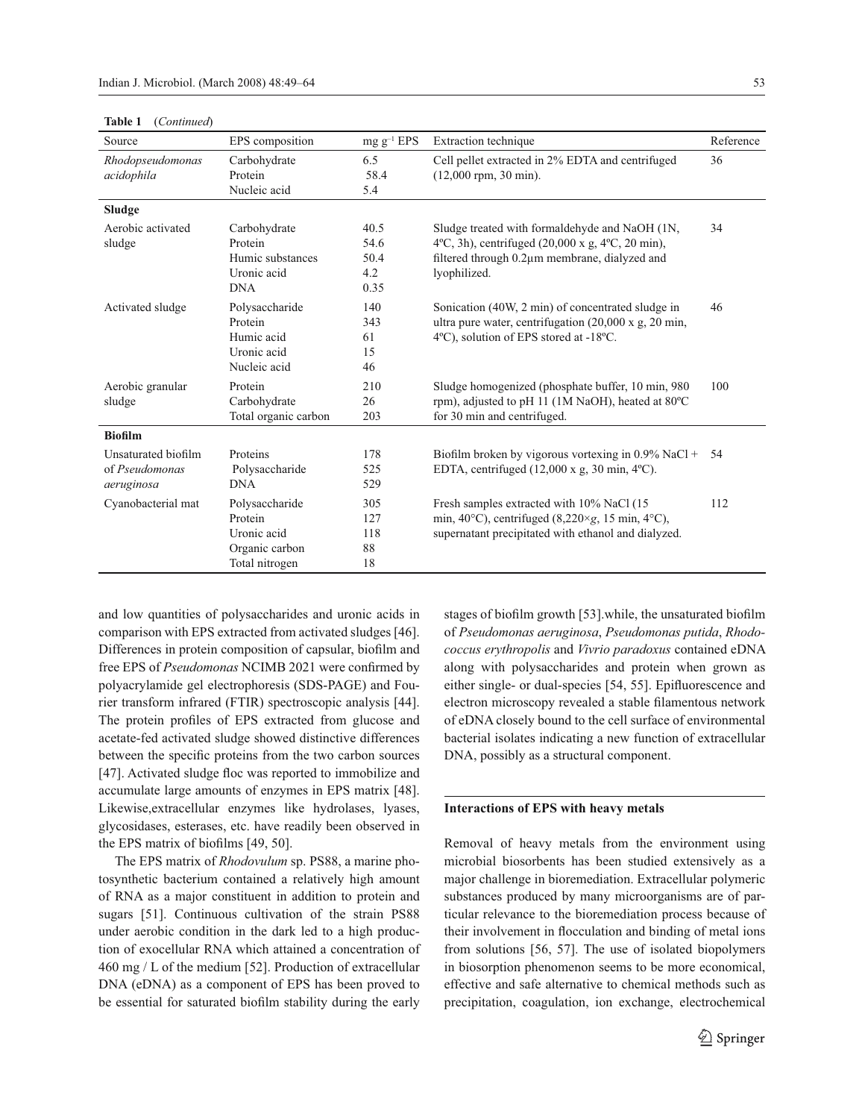| таріе т<br>(Continued)                                     |                                                                              |                                     |                                                                                                                                                                                         |           |
|------------------------------------------------------------|------------------------------------------------------------------------------|-------------------------------------|-----------------------------------------------------------------------------------------------------------------------------------------------------------------------------------------|-----------|
| Source                                                     | EPS composition                                                              | mg $\mathbf{g}^{\!-\!1}$ EPS        | Extraction technique                                                                                                                                                                    | Reference |
| Rhodopseudomonas<br>acidophila                             | Carbohydrate<br>Protein<br>Nucleic acid                                      | 6.5<br>58.4<br>5.4                  | Cell pellet extracted in 2% EDTA and centrifuged<br>$(12,000$ rpm, 30 min).                                                                                                             | 36        |
| Sludge                                                     |                                                                              |                                     |                                                                                                                                                                                         |           |
| Aerobic activated<br>sludge                                | Carbohydrate<br>Protein<br>Humic substances<br>Uronic acid<br><b>DNA</b>     | 40.5<br>54.6<br>50.4<br>4.2<br>0.35 | Sludge treated with formaldehyde and NaOH (1N,<br>$4^{\circ}$ C, 3h), centrifuged (20,000 x g, $4^{\circ}$ C, 20 min),<br>filtered through 0.2µm membrane, dialyzed and<br>lyophilized. | 34        |
| Activated sludge                                           | Polysaccharide<br>Protein<br>Humic acid<br>Uronic acid<br>Nucleic acid       | 140<br>343<br>61<br>15<br>46        | Sonication (40W, 2 min) of concentrated sludge in<br>ultra pure water, centrifugation (20,000 x g, 20 min,<br>4°C), solution of EPS stored at -18°C.                                    | 46        |
| Aerobic granular<br>sludge                                 | Protein<br>Carbohydrate<br>Total organic carbon                              | 210<br>26<br>203                    | Sludge homogenized (phosphate buffer, 10 min, 980)<br>rpm), adjusted to pH 11 (1M NaOH), heated at 80°C<br>for 30 min and centrifuged.                                                  | 100       |
| <b>Biofilm</b>                                             |                                                                              |                                     |                                                                                                                                                                                         |           |
| Unsaturated biofilm<br>of <i>Pseudomonas</i><br>aeruginosa | Proteins<br>Polysaccharide<br><b>DNA</b>                                     | 178<br>525<br>529                   | Biofilm broken by vigorous vortexing in 0.9% NaCl +<br>EDTA, centrifuged $(12,000 \text{ x g}, 30 \text{ min}, 4^{\circ}\text{C})$ .                                                    | 54        |
| Cyanobacterial mat                                         | Polysaccharide<br>Protein<br>Uronic acid<br>Organic carbon<br>Total nitrogen | 305<br>127<br>118<br>88<br>18       | Fresh samples extracted with 10% NaCl (15<br>min, 40°C), centrifuged (8,220×g, 15 min, 4°C),<br>supernatant precipitated with ethanol and dialyzed.                                     | 112       |

**Table 1** (*Continued*)

and low quantities of polysaccharides and uronic acids in comparison with EPS extracted from activated sludges [46]. Differences in protein composition of capsular, biofilm and free EPS of *Pseudomonas* NCIMB 2021 were confirmed by polyacrylamide gel electrophoresis (SDS-PAGE) and Fourier transform infrared (FTIR) spectroscopic analysis [44]. The protein profiles of EPS extracted from glucose and acetate-fed activated sludge showed distinctive differences between the specific proteins from the two carbon sources [47]. Activated sludge floc was reported to immobilize and accumulate large amounts of enzymes in EPS matrix [48]. Likewise,extracellular enzymes like hydrolases, lyases, glycosidases, esterases, etc. have readily been observed in the EPS matrix of biofilms [49, 50].

The EPS matrix of *Rhodovulum* sp. PS88, a marine photosynthetic bacterium contained a relatively high amount of RNA as a major constituent in addition to protein and sugars [51]. Continuous cultivation of the strain PS88 under aerobic condition in the dark led to a high production of exocellular RNA which attained a concentration of 460 mg / L of the medium [52]. Production of extracellular DNA (eDNA) as a component of EPS has been proved to be essential for saturated biofilm stability during the early stages of biofilm growth [53].while, the unsaturated biofilm of *Pseudomonas aeruginosa*, *Pseudomonas putida*, *Rhodococcus erythropolis* and *Vivrio paradoxus* contained eDNA along with polysaccharides and protein when grown as either single- or dual-species [54, 55]. Epifluorescence and electron microscopy revealed a stable filamentous network of eDNA closely bound to the cell surface of environmental bacterial isolates indicating a new function of extracellular DNA, possibly as a structural component.

# **Interactions of EPS with heavy metals**

Removal of heavy metals from the environment using microbial biosorbents has been studied extensively as a major challenge in bioremediation. Extracellular polymeric substances produced by many microorganisms are of particular relevance to the bioremediation process because of their involvement in flocculation and binding of metal ions from solutions [56, 57]. The use of isolated biopolymers in biosorption phenomenon seems to be more economical, effective and safe alternative to chemical methods such as precipitation, coagulation, ion exchange, electrochemical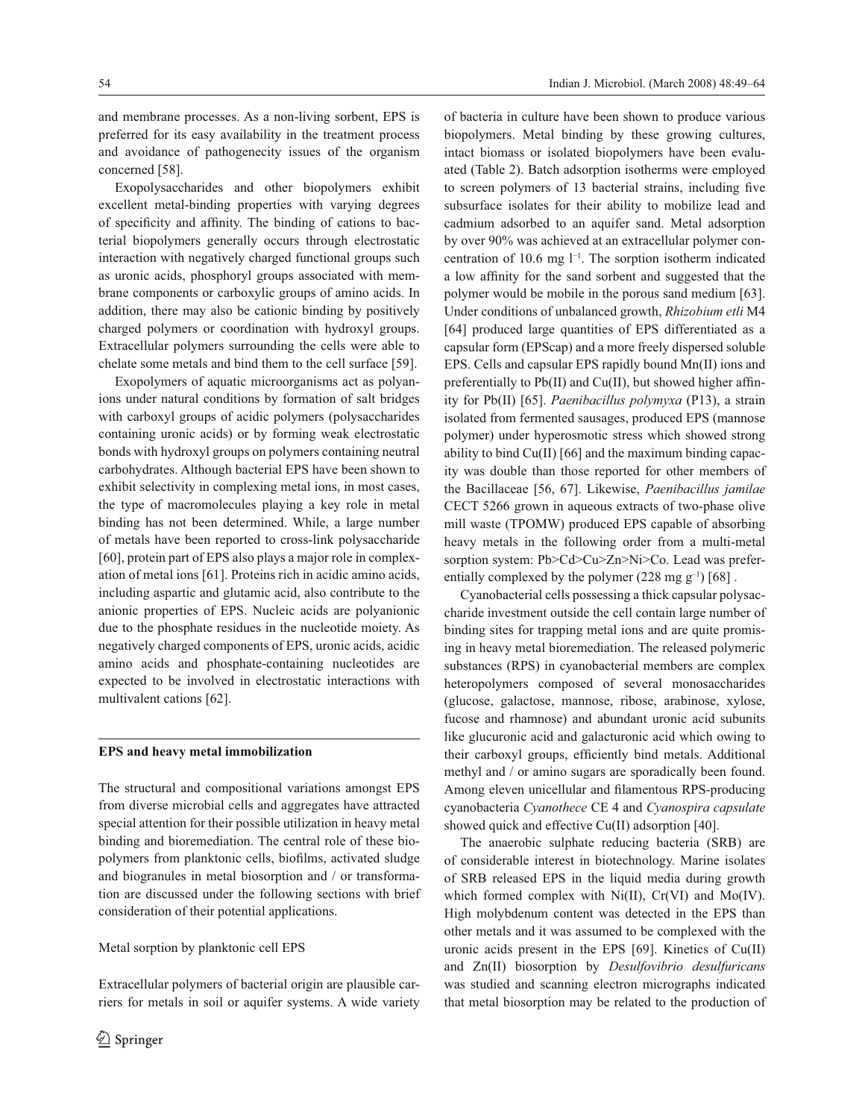and membrane processes. As a non-living sorbent, EPS is preferred for its easy availability in the treatment process and avoidance of pathogenecity issues of the organism concerned [58].

Exopolysaccharides and other biopolymers exhibit excellent metal-binding properties with varying degrees of specificity and affinity. The binding of cations to bacterial biopolymers generally occurs through electrostatic interaction with negatively charged functional groups such as uronic acids, phosphoryl groups associated with membrane components or carboxylic groups of amino acids. In addition, there may also be cationic binding by positively charged polymers or coordination with hydroxyl groups. Extracellular polymers surrounding the cells were able to chelate some metals and bind them to the cell surface [59].

Exopolymers of aquatic microorganisms act as polyanions under natural conditions by formation of salt bridges with carboxyl groups of acidic polymers (polysaccharides containing uronic acids) or by forming weak electrostatic bonds with hydroxyl groups on polymers containing neutral carbohydrates. Although bacterial EPS have been shown to exhibit selectivity in complexing metal ions, in most cases, the type of macromolecules playing a key role in metal binding has not been determined. While, a large number of metals have been reported to cross-link polysaccharide [60], protein part of EPS also plays a major role in complexation of metal ions [61]. Proteins rich in acidic amino acids, including aspartic and glutamic acid, also contribute to the anionic properties of EPS. Nucleic acids are polyanionic due to the phosphate residues in the nucleotide moiety. As negatively charged components of EPS, uronic acids, acidic amino acids and phosphate-containing nucleotides are expected to be involved in electrostatic interactions with multivalent cations [62].

# **EPS and heavy metal immobilization**

The structural and compositional variations amongst EPS from diverse microbial cells and aggregates have attracted special attention for their possible utilization in heavy metal binding and bioremediation. The central role of these biopolymers from planktonic cells, biofilms, activated sludge and biogranules in metal biosorption and / or transformation are discussed under the following sections with brief consideration of their potential applications.

## Metal sorption by planktonic cell EPS

Extracellular polymers of bacterial origin are plausible carriers for metals in soil or aquifer systems. A wide variety of bacteria in culture have been shown to produce various biopolymers. Metal binding by these growing cultures, intact biomass or isolated biopolymers have been evaluated (Table 2). Batch adsorption isotherms were employed to screen polymers of 13 bacterial strains, including five subsurface isolates for their ability to mobilize lead and cadmium adsorbed to an aquifer sand. Metal adsorption by over 90% was achieved at an extracellular polymer concentration of 10.6 mg l−1. The sorption isotherm indicated a low affinity for the sand sorbent and suggested that the polymer would be mobile in the porous sand medium [63]. Under conditions of unbalanced growth, *Rhizobium etli* M4 [64] produced large quantities of EPS differentiated as a capsular form (EPScap) and a more freely dispersed soluble EPS. Cells and capsular EPS rapidly bound Mn(II) ions and preferentially to  $Pb(II)$  and  $Cu(II)$ , but showed higher affinity for Pb(II) [65]. *Paenibacillus polymyxa* (P13), a strain isolated from fermented sausages, produced EPS (mannose polymer) under hyperosmotic stress which showed strong ability to bind Cu(II) [66] and the maximum binding capacity was double than those reported for other members of the Bacillaceae [56, 67]. Likewise, *Paenibacillus jamilae* CECT 5266 grown in aqueous extracts of two-phase olive mill waste (TPOMW) produced EPS capable of absorbing heavy metals in the following order from a multi-metal sorption system: Pb>Cd>Cu>Zn>Ni>Co. Lead was preferentially complexed by the polymer  $(228 \text{ mg g}^{-1})$  [68].

Cyanobacterial cells possessing a thick capsular polysaccharide investment outside the cell contain large number of binding sites for trapping metal ions and are quite promising in heavy metal bioremediation. The released polymeric substances (RPS) in cyanobacterial members are complex heteropolymers composed of several monosaccharides (glucose, galactose, mannose, ribose, arabinose, xylose, fucose and rhamnose) and abundant uronic acid subunits like glucuronic acid and galacturonic acid which owing to their carboxyl groups, efficiently bind metals. Additional methyl and / or amino sugars are sporadically been found. Among eleven unicellular and filamentous RPS-producing cyanobacteria *Cyanothece* CE 4 and *Cyanospira capsulate* showed quick and effective Cu(II) adsorption [40].

The anaerobic sulphate reducing bacteria (SRB) are of considerable interest in biotechnology. Marine isolates of SRB released EPS in the liquid media during growth which formed complex with Ni(II), Cr(VI) and Mo(IV). High molybdenum content was detected in the EPS than other metals and it was assumed to be complexed with the uronic acids present in the EPS [69]. Kinetics of Cu(II) and Zn(II) biosorption by *Desulfovibrio desulfuricans* was studied and scanning electron micrographs indicated that metal biosorption may be related to the production of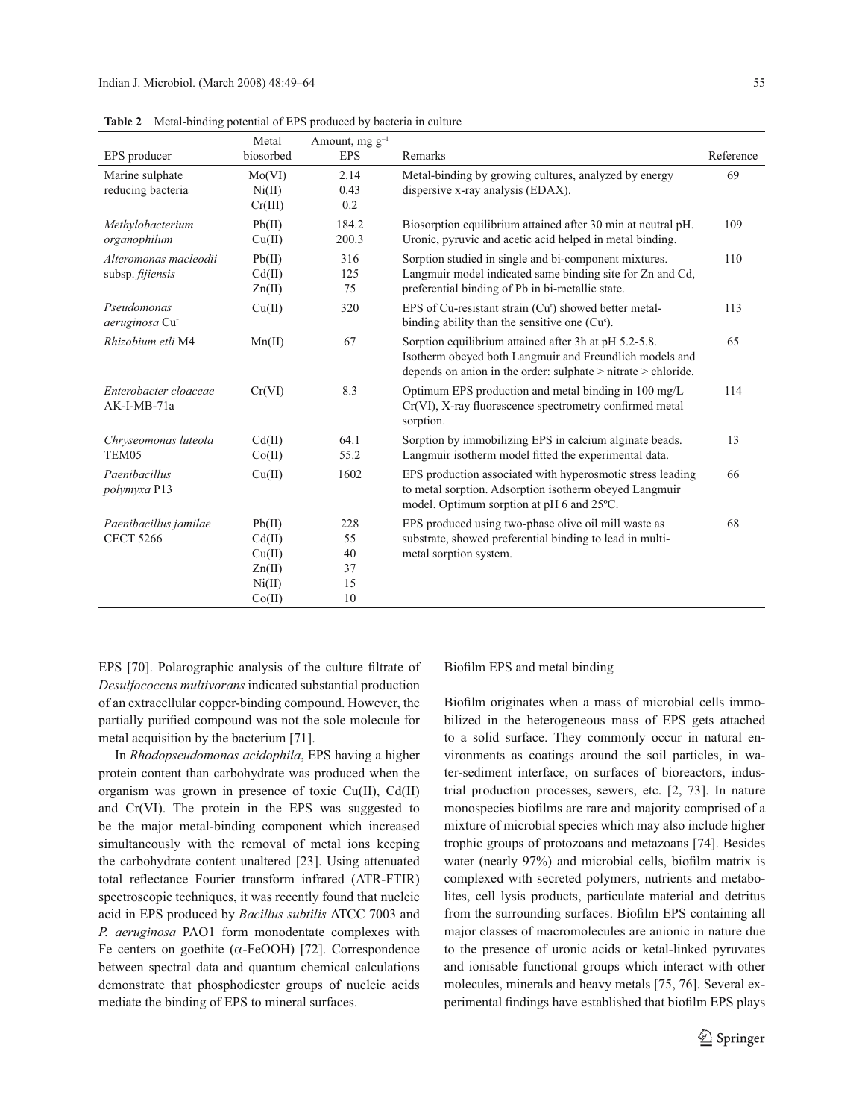|                                           | Metal                                                    | Amount, mg $g^{-1}$               |                                                                                                                                                                                   |           |
|-------------------------------------------|----------------------------------------------------------|-----------------------------------|-----------------------------------------------------------------------------------------------------------------------------------------------------------------------------------|-----------|
| EPS producer                              | biosorbed                                                | <b>EPS</b>                        | Remarks                                                                                                                                                                           | Reference |
| Marine sulphate<br>reducing bacteria      | Mo(VI)<br>Ni(II)<br>Cr(III)                              | 2.14<br>0.43<br>0.2               | Metal-binding by growing cultures, analyzed by energy<br>dispersive x-ray analysis (EDAX).                                                                                        | 69        |
| Methylobacterium<br>organophilum          | Pb(II)<br>Cu(II)                                         | 184.2<br>200.3                    | Biosorption equilibrium attained after 30 min at neutral pH.<br>Uronic, pyruvic and acetic acid helped in metal binding.                                                          | 109       |
| Alteromonas macleodii<br>subsp. fijiensis | Pb(II)<br>Cd(II)<br>Zn(II)                               | 316<br>125<br>75                  | Sorption studied in single and bi-component mixtures.<br>Langmuir model indicated same binding site for Zn and Cd,<br>preferential binding of Pb in bi-metallic state.            | 110       |
| Pseudomonas<br>aeruginosa Cu <sup>r</sup> | Cu(II)                                                   | 320                               | EPS of Cu-resistant strain (Cu <sup>r</sup> ) showed better metal-<br>binding ability than the sensitive one (Cu <sup>s</sup> ).                                                  | 113       |
| Rhizobium etli M4                         | Mn(II)                                                   | 67                                | Sorption equilibrium attained after 3h at pH 5.2-5.8.<br>Isotherm obeyed both Langmuir and Freundlich models and<br>depends on anion in the order: sulphate > nitrate > chloride. | 65        |
| Enterobacter cloaceae<br>AK-I-MB-71a      | Cr(VI)                                                   | 8.3                               | Optimum EPS production and metal binding in 100 mg/L<br>Cr(VI), X-ray fluorescence spectrometry confirmed metal<br>sorption.                                                      | 114       |
| Chryseomonas luteola<br>TEM05             | Cd(II)<br>Co(II)                                         | 64.1<br>55.2                      | Sorption by immobilizing EPS in calcium alginate beads.<br>Langmuir isotherm model fitted the experimental data.                                                                  | 13        |
| Paenibacillus<br>polymyxa P13             | Cu(II)                                                   | 1602                              | EPS production associated with hyperosmotic stress leading<br>to metal sorption. Adsorption isotherm obeyed Langmuir<br>model. Optimum sorption at pH 6 and 25°C.                 | 66        |
| Paenibacillus jamilae<br><b>CECT 5266</b> | Pb(II)<br>Cd(II)<br>Cu(II)<br>Zn(II)<br>Ni(II)<br>Co(II) | 228<br>55<br>40<br>37<br>15<br>10 | EPS produced using two-phase olive oil mill waste as<br>substrate, showed preferential binding to lead in multi-<br>metal sorption system.                                        | 68        |

**Table 2** Metal-binding potential of EPS produced by bacteria in culture

EPS [70]. Polarographic analysis of the culture filtrate of *Desulfococcus multivorans* indicated substantial production of an extracellular copper-binding compound. However, the partially purified compound was not the sole molecule for metal acquisition by the bacterium [71].

In *Rhodopseudomonas acidophila*, EPS having a higher protein content than carbohydrate was produced when the organism was grown in presence of toxic Cu(II), Cd(II) and Cr(VI). The protein in the EPS was suggested to be the major metal-binding component which increased simultaneously with the removal of metal ions keeping the carbohydrate content unaltered [23]. Using attenuated total reflectance Fourier transform infrared (ATR-FTIR) spectroscopic techniques, it was recently found that nucleic acid in EPS produced by *Bacillus subtilis* ATCC 7003 and *P. aeruginosa* PAO1 form monodentate complexes with Fe centers on goethite (α-FeOOH) [72]. Correspondence between spectral data and quantum chemical calculations demonstrate that phosphodiester groups of nucleic acids mediate the binding of EPS to mineral surfaces.

#### Biofilm EPS and metal binding

Biofilm originates when a mass of microbial cells immobilized in the heterogeneous mass of EPS gets attached to a solid surface. They commonly occur in natural environments as coatings around the soil particles, in water-sediment interface, on surfaces of bioreactors, industrial production processes, sewers, etc. [2, 73]. In nature monospecies biofilms are rare and majority comprised of a mixture of microbial species which may also include higher trophic groups of protozoans and metazoans [74]. Besides water (nearly 97%) and microbial cells, biofilm matrix is complexed with secreted polymers, nutrients and metabolites, cell lysis products, particulate material and detritus from the surrounding surfaces. Biofilm EPS containing all major classes of macromolecules are anionic in nature due to the presence of uronic acids or ketal-linked pyruvates and ionisable functional groups which interact with other molecules, minerals and heavy metals [75, 76]. Several experimental findings have established that biofilm EPS plays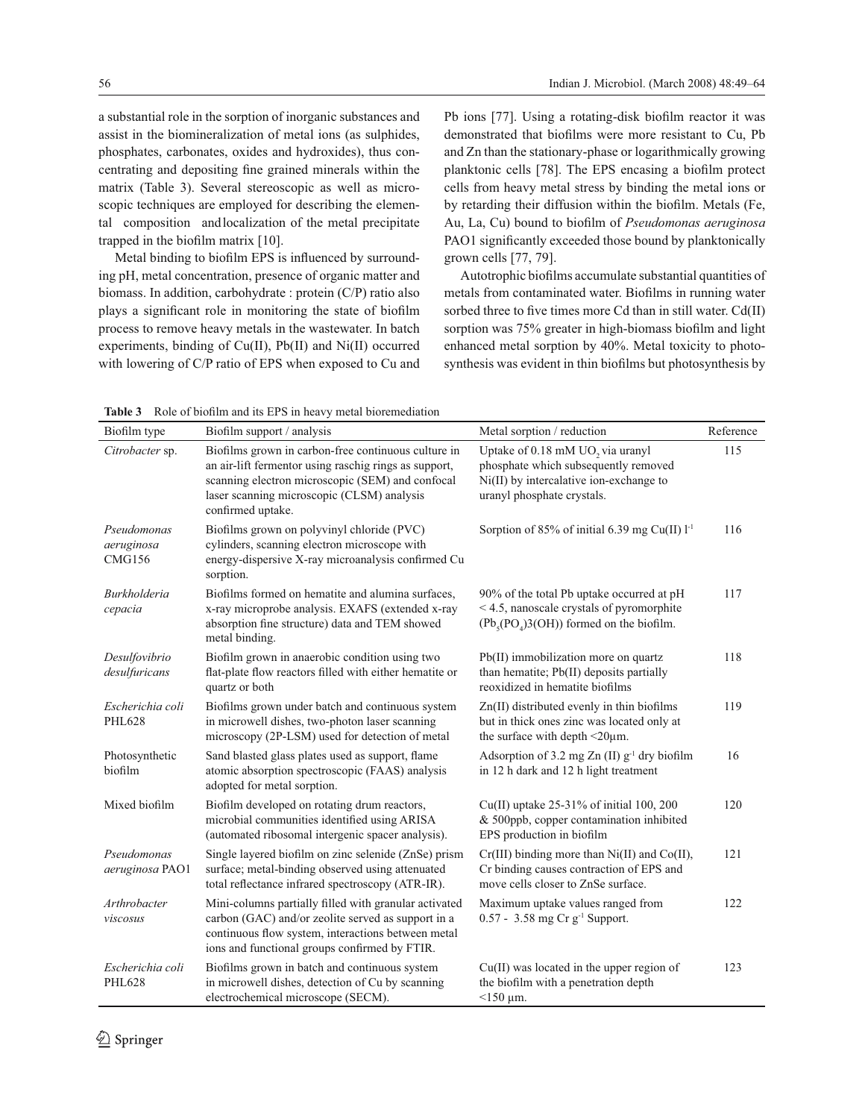a substantial role in the sorption of inorganic substances and assist in the biomineralization of metal ions (as sulphides, phosphates, carbonates, oxides and hydroxides), thus concentrating and depositing fine grained minerals within the matrix (Table 3). Several stereoscopic as well as microscopic techniques are employed for describing the elemental composition and localization of the metal precipitate trapped in the biofilm matrix  $[10]$ .

Metal binding to biofilm EPS is influenced by surrounding pH, metal concentration, presence of organic matter and biomass. In addition, carbohydrate : protein (C/P) ratio also plays a significant role in monitoring the state of biofilm process to remove heavy metals in the wastewater. In batch experiments, binding of Cu(II), Pb(II) and Ni(II) occurred with lowering of C/P ratio of EPS when exposed to Cu and Pb ions [77]. Using a rotating-disk biofilm reactor it was demonstrated that biofilms were more resistant to Cu, Pb and Zn than the stationary-phase or logarithmically growing planktonic cells [78]. The EPS encasing a biofilm protect cells from heavy metal stress by binding the metal ions or by retarding their diffusion within the biofilm. Metals (Fe, Au, La, Cu) bound to biofilm of *Pseudomonas aeruginosa* PAO1 significantly exceeded those bound by planktonically grown cells [77, 79].

Autotrophic biofilms accumulate substantial quantities of metals from contaminated water. Biofilms in running water sorbed three to five times more Cd than in still water. Cd(II) sorption was 75% greater in high-biomass biofilm and light enhanced metal sorption by 40%. Metal toxicity to photosynthesis was evident in thin biofilms but photosynthesis by

| Biofilm type                               | Biofilm support / analysis                                                                                                                                                                                                          | Metal sorption / reduction                                                                                                                                    | Reference |
|--------------------------------------------|-------------------------------------------------------------------------------------------------------------------------------------------------------------------------------------------------------------------------------------|---------------------------------------------------------------------------------------------------------------------------------------------------------------|-----------|
| Citrobacter sp.                            | Biofilms grown in carbon-free continuous culture in<br>an air-lift fermentor using raschig rings as support,<br>scanning electron microscopic (SEM) and confocal<br>laser scanning microscopic (CLSM) analysis<br>confirmed uptake. | Uptake of 0.18 mM UO <sub>2</sub> via uranyl<br>phosphate which subsequently removed<br>Ni(II) by intercalative ion-exchange to<br>uranyl phosphate crystals. | 115       |
| Pseudomonas<br>aeruginosa<br><b>CMG156</b> | Biofilms grown on polyvinyl chloride (PVC)<br>cylinders, scanning electron microscope with<br>energy-dispersive X-ray microanalysis confirmed Cu<br>sorption.                                                                       | Sorption of 85% of initial 6.39 mg Cu(II) $l^{-1}$                                                                                                            | 116       |
| <b>Burkholderia</b><br>cepacia             | Biofilms formed on hematite and alumina surfaces,<br>x-ray microprobe analysis. EXAFS (extended x-ray<br>absorption fine structure) data and TEM showed<br>metal binding.                                                           | 90% of the total Pb uptake occurred at pH<br>< 4.5, nanoscale crystals of pyromorphite<br>$(Pbs(POa)3(OH))$ formed on the biofilm.                            | 117       |
| Desulfovibrio<br>desulfuricans             | Biofilm grown in anaerobic condition using two<br>flat-plate flow reactors filled with either hematite or<br>quartz or both                                                                                                         | Pb(II) immobilization more on quartz<br>than hematite; Pb(II) deposits partially<br>reoxidized in hematite biofilms                                           | 118       |
| Escherichia coli<br><b>PHL628</b>          | Biofilms grown under batch and continuous system<br>in microwell dishes, two-photon laser scanning<br>microscopy (2P-LSM) used for detection of metal                                                                               | $Zn(II)$ distributed evenly in thin biofilms<br>but in thick ones zinc was located only at<br>the surface with depth $\leq 20 \mu m$ .                        | 119       |
| Photosynthetic<br>biofilm                  | Sand blasted glass plates used as support, flame<br>atomic absorption spectroscopic (FAAS) analysis<br>adopted for metal sorption.                                                                                                  | Adsorption of 3.2 mg Zn $(II)$ $g^{-1}$ dry biofilm<br>in 12 h dark and 12 h light treatment                                                                  | 16        |
| Mixed biofilm                              | Biofilm developed on rotating drum reactors,<br>microbial communities identified using ARISA<br>(automated ribosomal intergenic spacer analysis).                                                                                   | Cu(II) uptake 25-31% of initial 100, 200<br>$& 500$ ppb, copper contamination inhibited<br>EPS production in biofilm                                          | 120       |
| Pseudomonas<br>aeruginosa PAO1             | Single layered biofilm on zinc selenide (ZnSe) prism<br>surface; metal-binding observed using attenuated<br>total reflectance infrared spectroscopy (ATR-IR).                                                                       | Cr(III) binding more than Ni(II) and Co(II),<br>Cr binding causes contraction of EPS and<br>move cells closer to ZnSe surface.                                | 121       |
| Arthrobacter<br>viscosus                   | Mini-columns partially filled with granular activated<br>carbon (GAC) and/or zeolite served as support in a<br>continuous flow system, interactions between metal<br>ions and functional groups confirmed by FTIR.                  | Maximum uptake values ranged from<br>$0.57 - 3.58$ mg Cr g <sup>-1</sup> Support.                                                                             | 122       |
| Escherichia coli<br><b>PHL628</b>          | Biofilms grown in batch and continuous system<br>in microwell dishes, detection of Cu by scanning<br>electrochemical microscope (SECM).                                                                                             | Cu(II) was located in the upper region of<br>the biofilm with a penetration depth<br>$<150 \mu m$ .                                                           | 123       |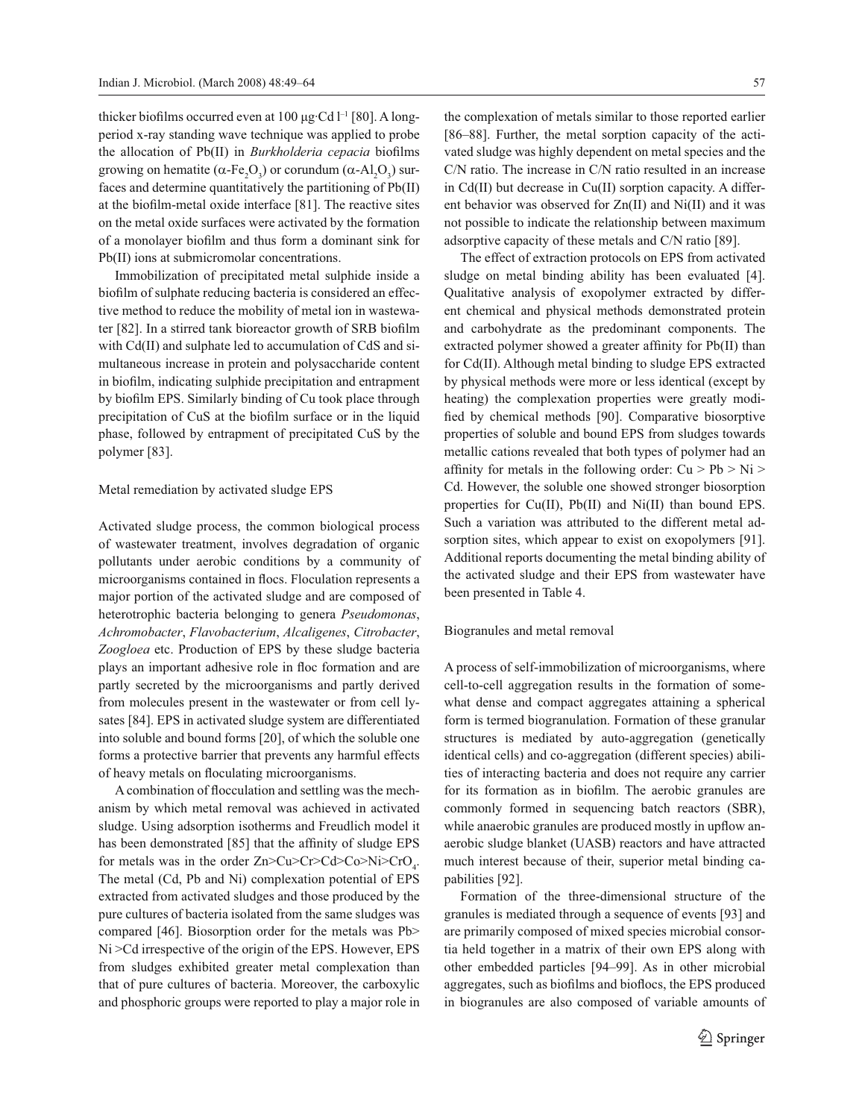thicker biofilms occurred even at 100 μg·Cd  $l^{-1}$  [80]. A longperiod x-ray standing wave technique was applied to probe the allocation of Pb(II) in *Burkholderia cepacia* biofilms growing on hematite ( $\alpha$ -Fe<sub>2</sub>O<sub>3</sub>) or corundum ( $\alpha$ -Al<sub>2</sub>O<sub>3</sub>) surfaces and determine quantitatively the partitioning of Pb(II) at the biofilm-metal oxide interface [81]. The reactive sites on the metal oxide surfaces were activated by the formation of a monolayer biofilm and thus form a dominant sink for Pb(II) ions at submicromolar concentrations.

Immobilization of precipitated metal sulphide inside a biofilm of sulphate reducing bacteria is considered an effective method to reduce the mobility of metal ion in wastewater [82]. In a stirred tank bioreactor growth of SRB biofilm with Cd(II) and sulphate led to accumulation of CdS and simultaneous increase in protein and polysaccharide content in biofilm, indicating sulphide precipitation and entrapment by biofilm EPS. Similarly binding of Cu took place through precipitation of CuS at the biofilm surface or in the liquid phase, followed by entrapment of precipitated CuS by the polymer [83].

#### Metal remediation by activated sludge EPS

Activated sludge process, the common biological process of wastewater treatment, involves degradation of organic pollutants under aerobic conditions by a community of microorganisms contained in flocs. Floculation represents a major portion of the activated sludge and are composed of heterotrophic bacteria belonging to genera *Pseudomonas*, *Achromobacter*, *Flavobacterium*, *Alcaligenes*, *Citrobacter*, *Zoogloea* etc. Production of EPS by these sludge bacteria plays an important adhesive role in floc formation and are partly secreted by the microorganisms and partly derived from molecules present in the wastewater or from cell lysates [84]. EPS in activated sludge system are differentiated into soluble and bound forms [20], of which the soluble one forms a protective barrier that prevents any harmful effects of heavy metals on floculating microorganisms.

A combination of flocculation and settling was the mechanism by which metal removal was achieved in activated sludge. Using adsorption isotherms and Freudlich model it has been demonstrated [85] that the affinity of sludge EPS for metals was in the order  $Zn > Cu > Cr > Cd > Co > Ni > CrO<sub>4</sub>$ . The metal (Cd, Pb and Ni) complexation potential of EPS extracted from activated sludges and those produced by the pure cultures of bacteria isolated from the same sludges was compared [46]. Biosorption order for the metals was Pb> Ni >Cd irrespective of the origin of the EPS. However, EPS from sludges exhibited greater metal complexation than that of pure cultures of bacteria. Moreover, the carboxylic and phosphoric groups were reported to play a major role in

the complexation of metals similar to those reported earlier [86–88]. Further, the metal sorption capacity of the activated sludge was highly dependent on metal species and the C/N ratio. The increase in C/N ratio resulted in an increase in Cd(II) but decrease in Cu(II) sorption capacity. A different behavior was observed for Zn(II) and Ni(II) and it was not possible to indicate the relationship between maximum adsorptive capacity of these metals and C/N ratio [89].

The effect of extraction protocols on EPS from activated sludge on metal binding ability has been evaluated [4]. Qualitative analysis of exopolymer extracted by different chemical and physical methods demonstrated protein and carbohydrate as the predominant components. The extracted polymer showed a greater affinity for  $Pb(II)$  than for Cd(II). Although metal binding to sludge EPS extracted by physical methods were more or less identical (except by heating) the complexation properties were greatly modified by chemical methods [90]. Comparative biosorptive properties of soluble and bound EPS from sludges towards metallic cations revealed that both types of polymer had an affinity for metals in the following order:  $Cu > Pb > Ni >$ Cd. However, the soluble one showed stronger biosorption properties for Cu(II), Pb(II) and Ni(II) than bound EPS. Such a variation was attributed to the different metal adsorption sites, which appear to exist on exopolymers [91]. Additional reports documenting the metal binding ability of the activated sludge and their EPS from wastewater have been presented in Table 4.

# Biogranules and metal removal

A process of self-immobilization of microorganisms, where cell-to-cell aggregation results in the formation of somewhat dense and compact aggregates attaining a spherical form is termed biogranulation. Formation of these granular structures is mediated by auto-aggregation (genetically identical cells) and co-aggregation (different species) abilities of interacting bacteria and does not require any carrier for its formation as in biofilm. The aerobic granules are commonly formed in sequencing batch reactors (SBR), while anaerobic granules are produced mostly in upflow anaerobic sludge blanket (UASB) reactors and have attracted much interest because of their, superior metal binding capabilities [92].

Formation of the three-dimensional structure of the granules is mediated through a sequence of events [93] and are primarily composed of mixed species microbial consortia held together in a matrix of their own EPS along with other embedded particles [94–99]. As in other microbial aggregates, such as biofilms and bioflocs, the EPS produced in biogranules are also composed of variable amounts of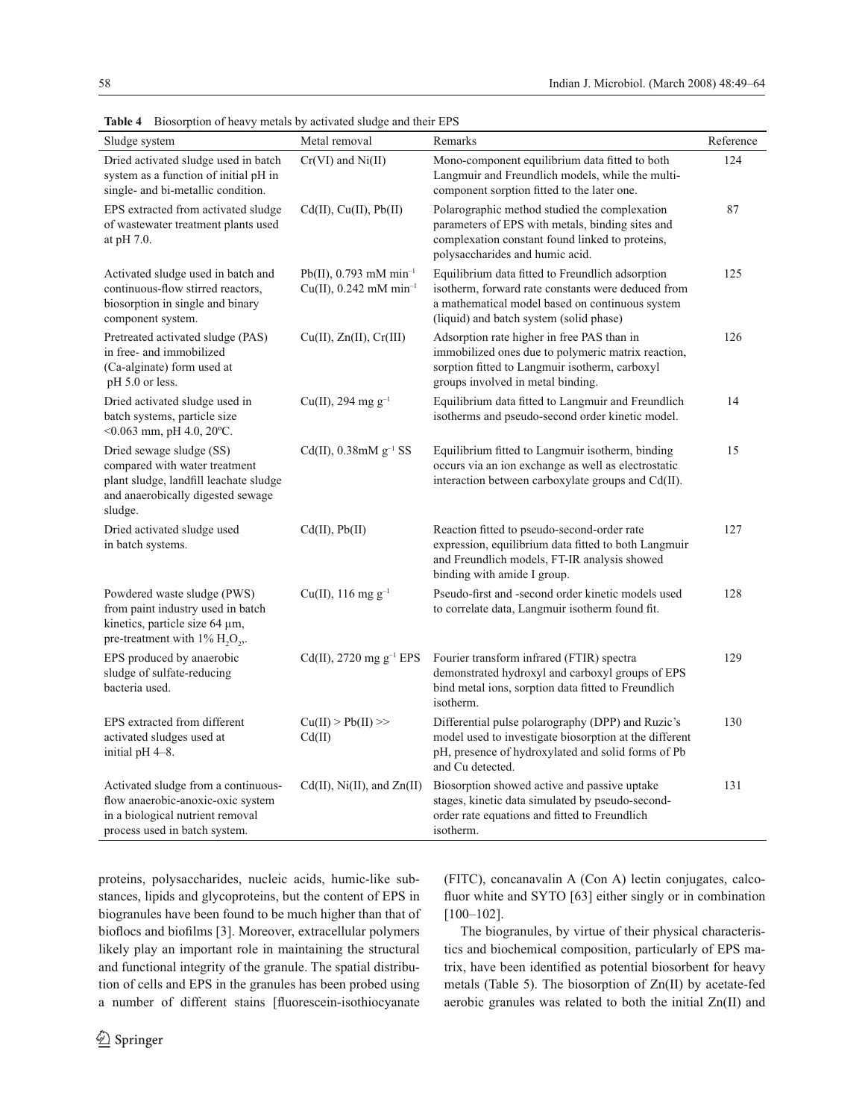| Dried activated sludge used in batch<br>system as a function of initial pH in<br>single- and bi-metallic condition.                                 | $Cr(VI)$ and $Ni(II)$                                                       | Mono-component equilibrium data fitted to both<br>Langmuir and Freundlich models, while the multi-<br>component sorption fitted to the later one.                                                                                | 124 |
|-----------------------------------------------------------------------------------------------------------------------------------------------------|-----------------------------------------------------------------------------|----------------------------------------------------------------------------------------------------------------------------------------------------------------------------------------------------------------------------------|-----|
| EPS extracted from activated sludge<br>of wastewater treatment plants used<br>at pH 7.0.                                                            | Cd(II), Cu(II), Pb(II)                                                      | Polarographic method studied the complexation<br>parameters of EPS with metals, binding sites and<br>complexation constant found linked to proteins,<br>polysaccharides and humic acid.                                          | 87  |
| Activated sludge used in batch and<br>continuous-flow stirred reactors,<br>biosorption in single and binary<br>component system.                    | Pb(II), 0.793 mM min <sup>-1</sup><br>$Cu(II)$ , 0.242 mM min <sup>-1</sup> | Equilibrium data fitted to Freundlich adsorption<br>isotherm, forward rate constants were deduced from<br>a mathematical model based on continuous system<br>(liquid) and batch system (solid phase)                             | 125 |
| Pretreated activated sludge (PAS)<br>in free- and immobilized<br>(Ca-alginate) form used at<br>pH 5.0 or less.                                      | Cu(II), Zn(II), Cr(III)                                                     | Adsorption rate higher in free PAS than in<br>immobilized ones due to polymeric matrix reaction,<br>sorption fitted to Langmuir isotherm, carboxyl<br>groups involved in metal binding.                                          | 126 |
| Dried activated sludge used in<br>batch systems, particle size<br><0.063 mm, pH 4.0, $20^{\circ}$ C.                                                | $Cu(II)$ , 294 mg g <sup>-1</sup>                                           | Equilibrium data fitted to Langmuir and Freundlich<br>isotherms and pseudo-second order kinetic model.                                                                                                                           | 14  |
| Dried sewage sludge (SS)<br>compared with water treatment<br>plant sludge, landfill leachate sludge<br>and anaerobically digested sewage<br>sludge. | Cd(II), $0.38$ mM $g^{-1}$ SS                                               | Equilibrium fitted to Langmuir isotherm, binding<br>occurs via an ion exchange as well as electrostatic<br>interaction between carboxylate groups and Cd(II).                                                                    | 15  |
| Dried activated sludge used<br>in batch systems.                                                                                                    | Cd(II), Pb(II)                                                              | Reaction fitted to pseudo-second-order rate<br>expression, equilibrium data fitted to both Langmuir<br>and Freundlich models, FT-IR analysis showed<br>binding with amide I group.                                               | 127 |
| Powdered waste sludge (PWS)<br>from paint industry used in batch<br>kinetics, particle size 64 µm,<br>pre-treatment with 1% $H_2O_2$ .              | Cu(II), $116$ mg g <sup>-1</sup>                                            | Pseudo-first and -second order kinetic models used<br>to correlate data, Langmuir isotherm found fit.                                                                                                                            | 128 |
| EPS produced by anaerobic<br>sludge of sulfate-reducing<br>bacteria used.                                                                           | Cd(II), 2720 mg $g^{-1}$ EPS                                                | Fourier transform infrared (FTIR) spectra<br>demonstrated hydroxyl and carboxyl groups of EPS<br>bind metal ions, sorption data fitted to Freundlich<br>isotherm.                                                                | 129 |
| EPS extracted from different<br>activated sludges used at<br>initial pH 4-8.                                                                        | $Cu(II)$ > $Pb(II)$ >><br>Cd(II)                                            | Differential pulse polarography (DPP) and Ruzic's<br>model used to investigate biosorption at the different<br>pH, presence of hydroxylated and solid forms of Pb<br>and Cu detected.                                            | 130 |
| flow anaerobic-anoxic-oxic system<br>in a biological nutrient removal<br>process used in batch system.                                              |                                                                             | Activated sludge from a continuous-<br>Cd(II), Ni(II), and Zn(II) Biosorption showed active and passive uptake<br>stages, kinetic data simulated by pseudo-second-<br>order rate equations and fitted to Freundlich<br>isotherm. | 131 |

Sludge system Metal removal Remarks Reference

**Table 4** Biosorption of heavy metals by activated sludge and their EPS

biogranules have been found to be much higher than that of bioflocs and biofilms [3]. Moreover, extracellular polymers likely play an important role in maintaining the structural and functional integrity of the granule. The spatial distribution of cells and EPS in the granules has been probed using a number of different stains [fluorescein-isothiocyanate

(FITC), concanavalin A (Con A) lectin conjugates, calcofluor white and SYTO [63] either singly or in combination [100–102].

The biogranules, by virtue of their physical characteristics and biochemical composition, particularly of EPS matrix, have been identified as potential biosorbent for heavy metals (Table 5). The biosorption of Zn(II) by acetate-fed aerobic granules was related to both the initial Zn(II) and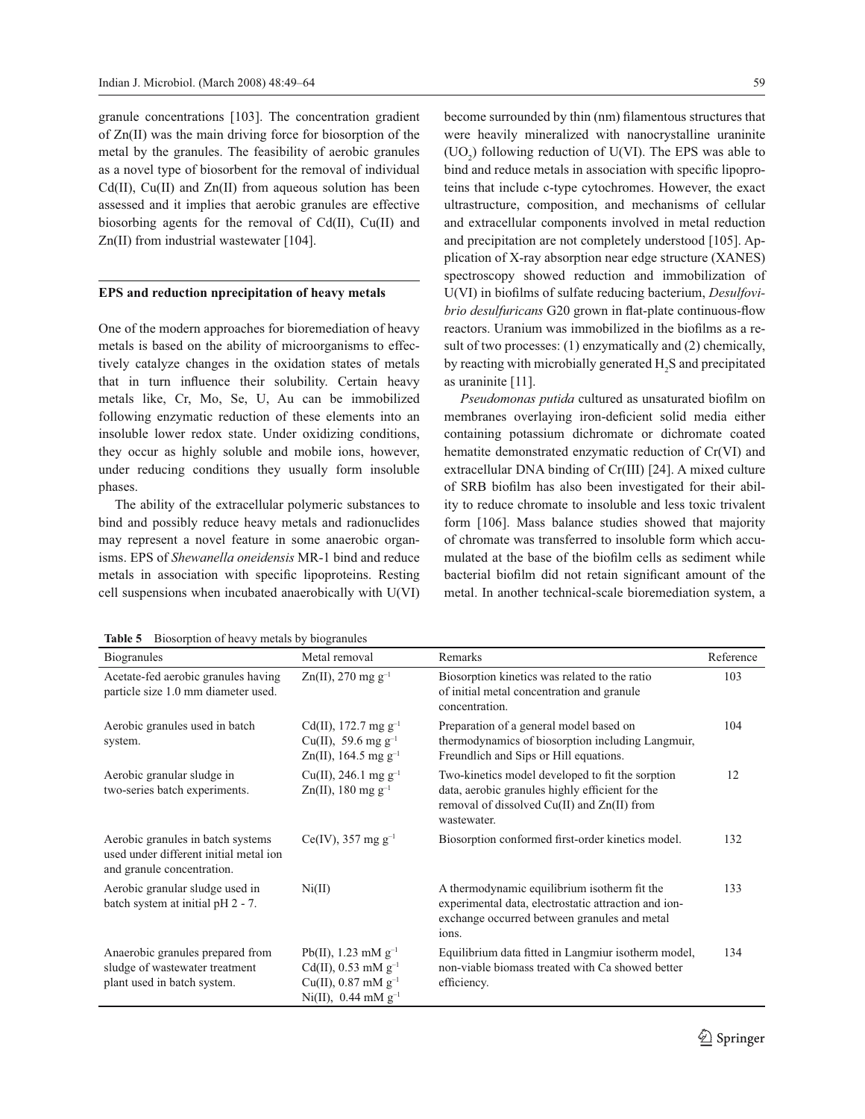granule concentrations [103]. The concentration gradient of Zn(II) was the main driving force for biosorption of the metal by the granules. The feasibility of aerobic granules as a novel type of biosorbent for the removal of individual  $Cd(II)$ ,  $Cu(II)$  and  $Zn(II)$  from aqueous solution has been assessed and it implies that aerobic granules are effective biosorbing agents for the removal of Cd(II), Cu(II) and Zn(II) from industrial wastewater [104].

#### **EPS and reduction nprecipitation of heavy metals**

One of the modern approaches for bioremediation of heavy metals is based on the ability of microorganisms to effectively catalyze changes in the oxidation states of metals that in turn influence their solubility. Certain heavy metals like, Cr, Mo, Se, U, Au can be immobilized following enzymatic reduction of these elements into an insoluble lower redox state. Under oxidizing conditions, they occur as highly soluble and mobile ions, however, under reducing conditions they usually form insoluble phases.

The ability of the extracellular polymeric substances to bind and possibly reduce heavy metals and radionuclides may represent a novel feature in some anaerobic organisms. EPS of *Shewanella oneidensis* MR-1 bind and reduce metals in association with specific lipoproteins. Resting cell suspensions when incubated anaerobically with U(VI)

**Table 5** Biosorption of heavy metals by biogranules

become surrounded by thin (nm) filamentous structures that were heavily mineralized with nanocrystalline uraninite  $(UO<sub>2</sub>)$  following reduction of U(VI). The EPS was able to bind and reduce metals in association with specific lipoproteins that include c-type cytochromes. However, the exact ultrastructure, composition, and mechanisms of cellular and extracellular components involved in metal reduction and precipitation are not completely understood [105]. Application of X-ray absorption near edge structure (XANES) spectroscopy showed reduction and immobilization of U(VI) in biofilms of sulfate reducing bacterium, *Desulfovibrio desulfuricans* G20 grown in flat-plate continuous-flow reactors. Uranium was immobilized in the biofilms as a result of two processes: (1) enzymatically and (2) chemically, by reacting with microbially generated  $H_2S$  and precipitated as uraninite [11].

Pseudomonas putida cultured as unsaturated biofilm on membranes overlaying iron-deficient solid media either containing potassium dichromate or dichromate coated hematite demonstrated enzymatic reduction of Cr(VI) and extracellular DNA binding of Cr(III) [24]. A mixed culture of SRB biofilm has also been investigated for their ability to reduce chromate to insoluble and less toxic trivalent form [106]. Mass balance studies showed that majority of chromate was transferred to insoluble form which accumulated at the base of the biofilm cells as sediment while bacterial biofilm did not retain significant amount of the metal. In another technical-scale bioremediation system, a

| <b>Biogranules</b>                                                                                        | Metal removal                                                                                                     | Remarks                                                                                                                                                           | Reference |
|-----------------------------------------------------------------------------------------------------------|-------------------------------------------------------------------------------------------------------------------|-------------------------------------------------------------------------------------------------------------------------------------------------------------------|-----------|
| Acetate-fed aerobic granules having<br>particle size 1.0 mm diameter used.                                | $Zn(II)$ , 270 mg g <sup>-1</sup>                                                                                 | Biosorption kinetics was related to the ratio<br>of initial metal concentration and granule<br>concentration.                                                     | 103       |
| Aerobic granules used in batch<br>system.                                                                 | Cd(II), 172.7 mg g <sup>-1</sup><br>Cu(II), 59.6 mg g <sup>-1</sup><br>$Zn(II)$ , 164.5 mg g <sup>-1</sup>        | Preparation of a general model based on<br>thermodynamics of biosorption including Langmuir,<br>Freundlich and Sips or Hill equations.                            | 104       |
| Aerobic granular sludge in<br>two-series batch experiments.                                               | Cu(II), 246.1 mg $g^{-1}$<br>$Zn(II)$ , 180 mg g <sup>-1</sup>                                                    | Two-kinetics model developed to fit the sorption<br>data, aerobic granules highly efficient for the<br>removal of dissolved Cu(II) and Zn(II) from<br>wastewater. | 12        |
| Aerobic granules in batch systems<br>used under different initial metal ion<br>and granule concentration. | Ce(IV), 357 mg g <sup>-1</sup>                                                                                    | Biosorption conformed first-order kinetics model.                                                                                                                 | 132       |
| Aerobic granular sludge used in<br>batch system at initial pH 2 - 7.                                      | Ni(II)                                                                                                            | A thermodynamic equilibrium isotherm fit the<br>experimental data, electrostatic attraction and ion-<br>exchange occurred between granules and metal<br>ions.     | 133       |
| Anaerobic granules prepared from<br>sludge of wastewater treatment<br>plant used in batch system.         | Pb(II), 1.23 mM $g^{-1}$<br>$Cd(II)$ , 0.53 mM $g^{-1}$<br>Cu(II), 0.87 mM $g^{-1}$<br>Ni(II), $0.44$ mM $g^{-1}$ | Equilibrium data fitted in Langmiur isotherm model,<br>non-viable biomass treated with Ca showed better<br>efficiency.                                            | 134       |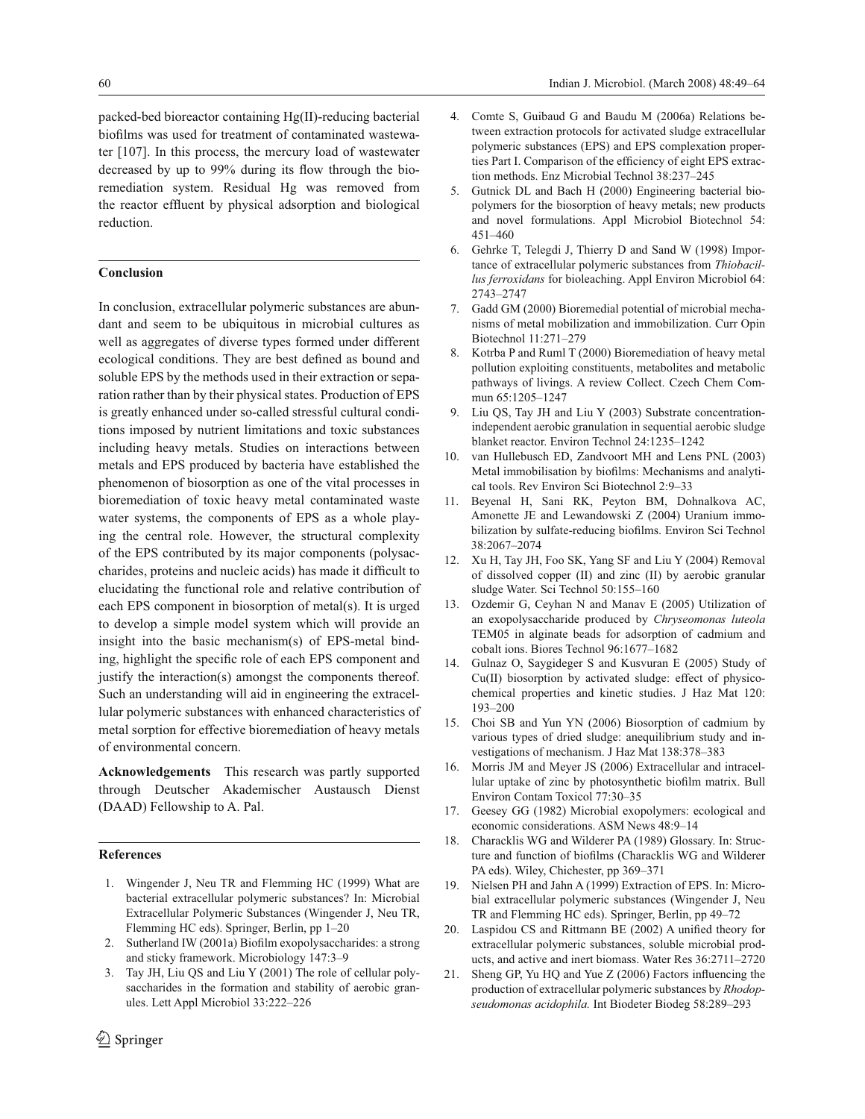packed-bed bioreactor containing Hg(II)-reducing bacterial biofilms was used for treatment of contaminated wastewater [107]. In this process, the mercury load of wastewater decreased by up to 99% during its flow through the bioremediation system. Residual Hg was removed from the reactor effluent by physical adsorption and biological reduction.

## **Conclusion**

In conclusion, extracellular polymeric substances are abundant and seem to be ubiquitous in microbial cultures as well as aggregates of diverse types formed under different ecological conditions. They are best defined as bound and soluble EPS by the methods used in their extraction or separation rather than by their physical states. Production of EPS is greatly enhanced under so-called stressful cultural conditions imposed by nutrient limitations and toxic substances including heavy metals. Studies on interactions between metals and EPS produced by bacteria have established the phenomenon of biosorption as one of the vital processes in bioremediation of toxic heavy metal contaminated waste water systems, the components of EPS as a whole playing the central role. However, the structural complexity of the EPS contributed by its major components (polysaccharides, proteins and nucleic acids) has made it difficult to elucidating the functional role and relative contribution of each EPS component in biosorption of metal(s). It is urged to develop a simple model system which will provide an insight into the basic mechanism(s) of EPS-metal binding, highlight the specific role of each EPS component and justify the interaction(s) amongst the components thereof. Such an understanding will aid in engineering the extracellular polymeric substances with enhanced characteristics of metal sorption for effective bioremediation of heavy metals of environmental concern.

**Acknowledgements** This research was partly supported through Deutscher Akademischer Austausch Dienst (DAAD) Fellowship to A. Pal.

#### **References**

- 1. Wingender J, Neu TR and Flemming HC (1999) What are bacterial extracellular polymeric substances? In: Microbial Extracellular Polymeric Substances (Wingender J, Neu TR, Flemming HC eds). Springer, Berlin, pp 1–20
- 2. Sutherland IW (2001a) Biofilm exopolysaccharides: a strong and sticky framework. Microbiology 147:3–9
- 3. Tay JH, Liu QS and Liu Y (2001) The role of cellular polysaccharides in the formation and stability of aerobic granules. Lett Appl Microbiol 33:222–226
- 4. Comte S, Guibaud G and Baudu M (2006a) Relations between extraction protocols for activated sludge extracellular polymeric substances (EPS) and EPS complexation properties Part I. Comparison of the efficiency of eight EPS extraction methods. Enz Microbial Technol 38:237–245
- 5. Gutnick DL and Bach H (2000) Engineering bacterial biopolymers for the biosorption of heavy metals; new products and novel formulations. Appl Microbiol Biotechnol 54: 451–460
- 6. Gehrke T, Telegdi J, Thierry D and Sand W (1998) Importance of extracellular polymeric substances from *Thiobacillus ferroxidans* for bioleaching. Appl Environ Microbiol 64: 2743–2747
- 7. Gadd GM (2000) Bioremedial potential of microbial mechanisms of metal mobilization and immobilization. Curr Opin Biotechnol 11:271–279
- 8. Kotrba P and Ruml T (2000) Bioremediation of heavy metal pollution exploiting constituents, metabolites and metabolic pathways of livings. A review Collect. Czech Chem Commun 65:1205–1247
- 9. Liu QS, Tay JH and Liu Y (2003) Substrate concentrationindependent aerobic granulation in sequential aerobic sludge blanket reactor. Environ Technol 24:1235–1242
- 10. van Hullebusch ED, Zandvoort MH and Lens PNL (2003) Metal immobilisation by biofilms: Mechanisms and analytical tools. Rev Environ Sci Biotechnol 2:9–33
- 11. Beyenal H, Sani RK, Peyton BM, Dohnalkova AC, Amonette JE and Lewandowski Z (2004) Uranium immobilization by sulfate-reducing biofilms. Environ Sci Technol 38:2067–2074
- 12. Xu H, Tay JH, Foo SK, Yang SF and Liu Y (2004) Removal of dissolved copper (II) and zinc (II) by aerobic granular sludge Water. Sci Technol 50:155–160
- 13. Ozdemir G, Ceyhan N and Manav E (2005) Utilization of an exopolysaccharide produced by *Chryseomonas luteola* TEM05 in alginate beads for adsorption of cadmium and cobalt ions. Biores Technol 96:1677–1682
- 14. Gulnaz O, Saygideger S and Kusvuran E (2005) Study of Cu(II) biosorption by activated sludge: effect of physicochemical properties and kinetic studies. J Haz Mat 120: 193–200
- 15. Choi SB and Yun YN (2006) Biosorption of cadmium by various types of dried sludge: anequilibrium study and investigations of mechanism. J Haz Mat 138:378–383
- 16. Morris JM and Meyer JS (2006) Extracellular and intracellular uptake of zinc by photosynthetic biofilm matrix. Bull Environ Contam Toxicol 77:30–35
- 17. Geesey GG (1982) Microbial exopolymers: ecological and economic considerations. ASM News 48:9–14
- 18. Characklis WG and Wilderer PA (1989) Glossary. In: Structure and function of biofilms (Characklis WG and Wilderer PA eds). Wiley, Chichester, pp 369–371
- 19. Nielsen PH and Jahn A (1999) Extraction of EPS. In: Microbial extracellular polymeric substances (Wingender J, Neu TR and Flemming HC eds). Springer, Berlin, pp 49–72
- 20. Laspidou CS and Rittmann BE  $(2002)$  A unified theory for extracellular polymeric substances, soluble microbial products, and active and inert biomass. Water Res 36:2711–2720
- 21. Sheng GP, Yu HQ and Yue Z (2006) Factors influencing the production of extracellular polymeric substances by *Rhodopseudomonas acidophila.* Int Biodeter Biodeg 58:289–293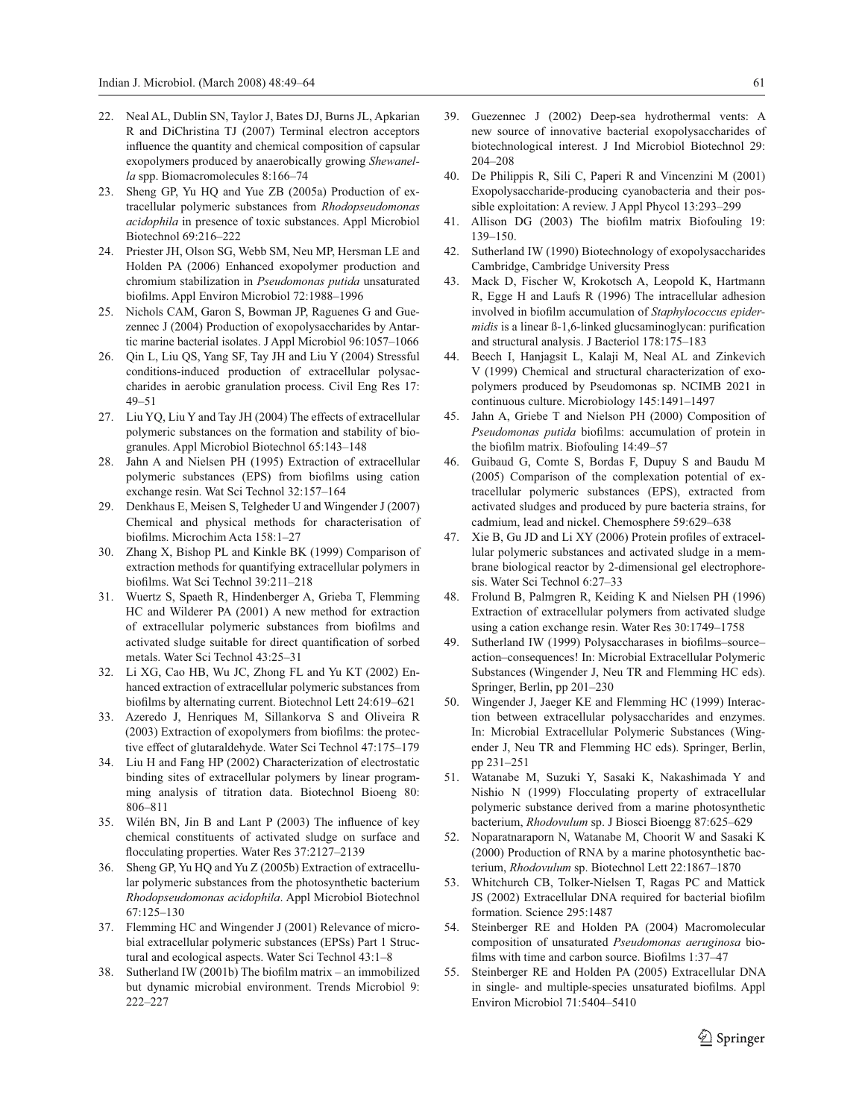- 22. Neal AL, Dublin SN, Taylor J, Bates DJ, Burns JL, Apkarian R and DiChristina TJ (2007) Terminal electron acceptors influence the quantity and chemical composition of capsular exopolymers produced by anaerobically growing *Shewanella* spp. Biomacromolecules 8:166–74
- 23. Sheng GP, Yu HQ and Yue ZB (2005a) Production of extracellular polymeric substances from *Rhodopseudomonas acidophila* in presence of toxic substances. Appl Microbiol Biotechnol 69:216–222
- 24. Priester JH, Olson SG, Webb SM, Neu MP, Hersman LE and Holden PA (2006) Enhanced exopolymer production and chromium stabilization in *Pseudomonas putida* unsaturated biofilms. Appl Environ Microbiol 72:1988–1996
- 25. Nichols CAM, Garon S, Bowman JP, Raguenes G and Guezennec J (2004) Production of exopolysaccharides by Antartic marine bacterial isolates. J Appl Microbiol 96:1057–1066
- 26. Qin L, Liu QS, Yang SF, Tay JH and Liu Y (2004) Stressful conditions-induced production of extracellular polysaccharides in aerobic granulation process. Civil Eng Res 17: 49–51
- 27. Liu YQ, Liu Y and Tay JH (2004) The effects of extracellular polymeric substances on the formation and stability of biogranules. Appl Microbiol Biotechnol 65:143–148
- 28. Jahn A and Nielsen PH (1995) Extraction of extracellular polymeric substances (EPS) from biofilms using cation exchange resin. Wat Sci Technol 32:157–164
- 29. Denkhaus E, Meisen S, Telgheder U and Wingender J (2007) Chemical and physical methods for characterisation of biofilms. Microchim Acta 158:1-27
- 30. Zhang X, Bishop PL and Kinkle BK (1999) Comparison of extraction methods for quantifying extracellular polymers in biofilms. Wat Sci Technol 39:211-218
- 31. Wuertz S, Spaeth R, Hindenberger A, Grieba T, Flemming HC and Wilderer PA (2001) A new method for extraction of extracellular polymeric substances from biofilms and activated sludge suitable for direct quantification of sorbed metals. Water Sci Technol 43:25–31
- 32. Li XG, Cao HB, Wu JC, Zhong FL and Yu KT (2002) Enhanced extraction of extracellular polymeric substances from biofilms by alternating current. Biotechnol Lett 24:619-621
- 33. Azeredo J, Henriques M, Sillankorva S and Oliveira R  $(2003)$  Extraction of exopolymers from biofilms: the protective effect of glutaraldehyde. Water Sci Technol 47:175–179
- 34. Liu H and Fang HP (2002) Characterization of electrostatic binding sites of extracellular polymers by linear programming analysis of titration data. Biotechnol Bioeng 80: 806–811
- 35. Wilén BN, Jin B and Lant P (2003) The influence of key chemical constituents of activated sludge on surface and flocculating properties. Water Res 37:2127-2139
- 36. Sheng GP, Yu HQ and Yu Z (2005b) Extraction of extracellular polymeric substances from the photosynthetic bacterium *Rhodopseudomonas acidophila*. Appl Microbiol Biotechnol 67:125–130
- 37. Flemming HC and Wingender J (2001) Relevance of microbial extracellular polymeric substances (EPSs) Part 1 Structural and ecological aspects. Water Sci Technol 43:1–8
- 38. Sutherland IW (2001b) The biofilm matrix an immobilized but dynamic microbial environment. Trends Microbiol 9: 222–227
- 39. Guezennec J (2002) Deep-sea hydrothermal vents: A new source of innovative bacterial exopolysaccharides of biotechnological interest. J Ind Microbiol Biotechnol 29: 204–208
- 40. De Philippis R, Sili C, Paperi R and Vincenzini M (2001) Exopolysaccharide-producing cyanobacteria and their possible exploitation: A review. J Appl Phycol 13:293–299
- 41. Allison DG (2003) The biofilm matrix Biofouling 19: 139–150.
- 42. Sutherland IW (1990) Biotechnology of exopolysaccharides Cambridge, Cambridge University Press
- 43. Mack D, Fischer W, Krokotsch A, Leopold K, Hartmann R, Egge H and Laufs R (1996) The intracellular adhesion involved in biofilm accumulation of *Staphylococcus epidermidis* is a linear ß-1,6-linked glucsaminoglycan: purification and structural analysis. J Bacteriol 178:175–183
- 44. Beech I, Hanjagsit L, Kalaji M, Neal AL and Zinkevich V (1999) Chemical and structural characterization of exopolymers produced by Pseudomonas sp. NCIMB 2021 in continuous culture. Microbiology 145:1491–1497
- 45. Jahn A, Griebe T and Nielson PH (2000) Composition of *Pseudomonas putida* biofilms: accumulation of protein in the biofilm matrix. Biofouling 14:49-57
- 46. Guibaud G, Comte S, Bordas F, Dupuy S and Baudu M (2005) Comparison of the complexation potential of extracellular polymeric substances (EPS), extracted from activated sludges and produced by pure bacteria strains, for cadmium, lead and nickel. Chemosphere 59:629–638
- 47. Xie B, Gu JD and Li XY (2006) Protein profiles of extracellular polymeric substances and activated sludge in a membrane biological reactor by 2-dimensional gel electrophoresis. Water Sci Technol 6:27–33
- 48. Frolund B, Palmgren R, Keiding K and Nielsen PH (1996) Extraction of extracellular polymers from activated sludge using a cation exchange resin. Water Res 30:1749–1758
- 49. Sutherland IW (1999) Polysaccharases in biofilms-sourceaction–consequences! In: Microbial Extracellular Polymeric Substances (Wingender J, Neu TR and Flemming HC eds). Springer, Berlin, pp 201–230
- 50. Wingender J, Jaeger KE and Flemming HC (1999) Interaction between extracellular polysaccharides and enzymes. In: Microbial Extracellular Polymeric Substances (Wingender J, Neu TR and Flemming HC eds). Springer, Berlin, pp 231–251
- 51. Watanabe M, Suzuki Y, Sasaki K, Nakashimada Y and Nishio N (1999) Flocculating property of extracellular polymeric substance derived from a marine photosynthetic bacterium, *Rhodovulum* sp. J Biosci Bioengg 87:625–629
- 52. Noparatnaraporn N, Watanabe M, Choorit W and Sasaki K (2000) Production of RNA by a marine photosynthetic bacterium, *Rhodovulum* sp. Biotechnol Lett 22:1867–1870
- 53. Whitchurch CB, Tolker-Nielsen T, Ragas PC and Mattick JS (2002) Extracellular DNA required for bacterial biofilm formation. Science 295:1487
- 54. Steinberger RE and Holden PA (2004) Macromolecular composition of unsaturated *Pseudomonas aeruginosa* biofilms with time and carbon source. Biofilms  $1:37-47$
- 55. Steinberger RE and Holden PA (2005) Extracellular DNA in single- and multiple-species unsaturated biofilms. Appl Environ Microbiol 71:5404–5410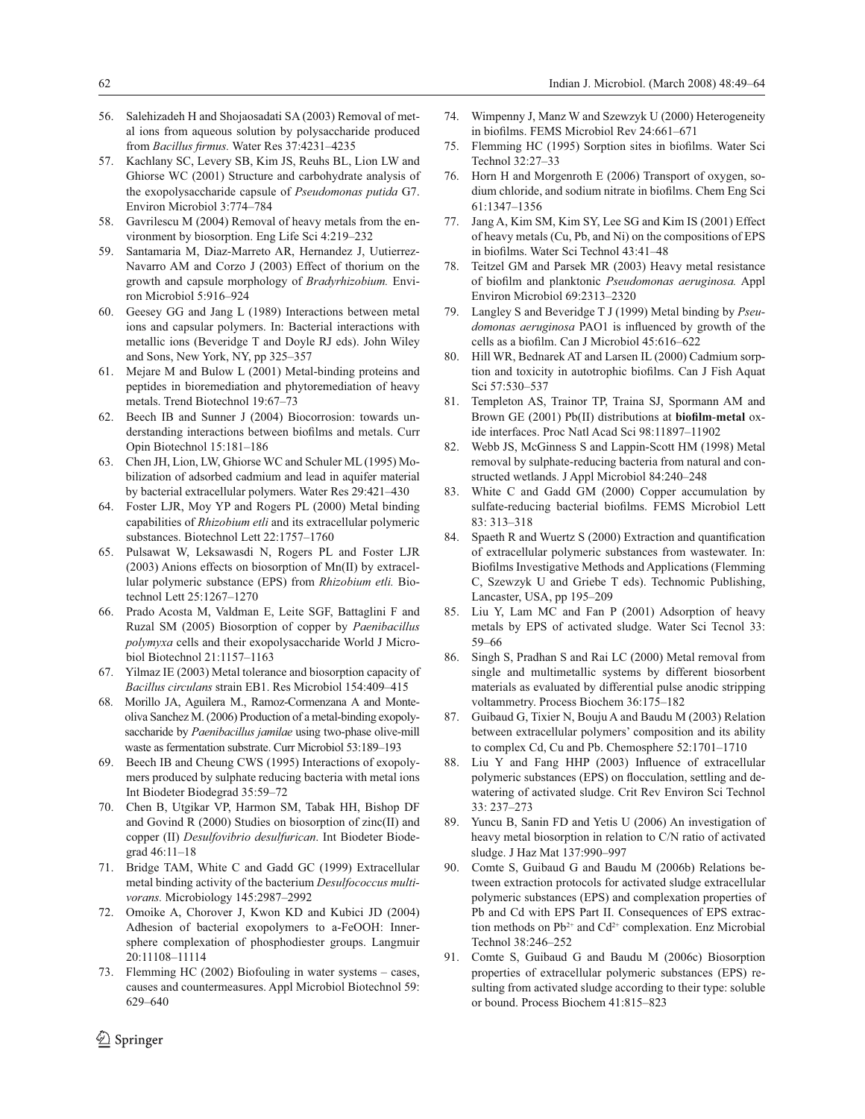- 56. Salehizadeh H and Shojaosadati SA (2003) Removal of metal ions from aqueous solution by polysaccharide produced from *Bacillus firmus*. Water Res 37:4231-4235
- 57. Kachlany SC, Levery SB, Kim JS, Reuhs BL, Lion LW and Ghiorse WC (2001) Structure and carbohydrate analysis of the exopolysaccharide capsule of *Pseudomonas putida* G7. Environ Microbiol 3:774–784
- 58. Gavrilescu M (2004) Removal of heavy metals from the environment by biosorption. Eng Life Sci 4:219–232
- 59. Santamaria M, Diaz-Marreto AR, Hernandez J, Uutierrez-Navarro AM and Corzo J (2003) Effect of thorium on the growth and capsule morphology of *Bradyrhizobium.* Environ Microbiol 5:916–924
- 60. Geesey GG and Jang L (1989) Interactions between metal ions and capsular polymers. In: Bacterial interactions with metallic ions (Beveridge T and Doyle RJ eds). John Wiley and Sons, New York, NY, pp 325–357
- 61. Mejare M and Bulow L (2001) Metal-binding proteins and peptides in bioremediation and phytoremediation of heavy metals. Trend Biotechnol 19:67–73
- 62. Beech IB and Sunner J (2004) Biocorrosion: towards understanding interactions between biofilms and metals. Curr Opin Biotechnol 15:181–186
- 63. Chen JH, Lion, LW, Ghiorse WC and Schuler ML (1995) Mobilization of adsorbed cadmium and lead in aquifer material by bacterial extracellular polymers. Water Res 29:421–430
- 64. Foster LJR, Moy YP and Rogers PL (2000) Metal binding capabilities of *Rhizobium etli* and its extracellular polymeric substances. Biotechnol Lett 22:1757–1760
- 65. Pulsawat W, Leksawasdi N, Rogers PL and Foster LJR (2003) Anions effects on biosorption of Mn(II) by extracellular polymeric substance (EPS) from *Rhizobium etli.* Biotechnol Lett 25:1267–1270
- 66. Prado Acosta M, Valdman E, Leite SGF, Battaglini F and Ruzal SM (2005) Biosorption of copper by *Paenibacillus polymyxa* cells and their exopolysaccharide World J Microbiol Biotechnol 21:1157–1163
- 67. Yilmaz IE (2003) Metal tolerance and biosorption capacity of *Bacillus circulans* strain EB1. Res Microbiol 154:409–415
- 68. Morillo JA, Aguilera M., Ramoz-Cormenzana A and Monteoliva Sanchez M. (2006) Production of a metal-binding exopolysaccharide by *Paenibacillus jamilae* using two-phase olive-mill waste as fermentation substrate. Curr Microbiol 53:189–193
- 69. Beech IB and Cheung CWS (1995) Interactions of exopolymers produced by sulphate reducing bacteria with metal ions Int Biodeter Biodegrad 35:59–72
- 70. Chen B, Utgikar VP, Harmon SM, Tabak HH, Bishop DF and Govind R (2000) Studies on biosorption of zinc(II) and copper (II) *Desulfovibrio desulfurican*. Int Biodeter Biodegrad 46:11–18
- 71. Bridge TAM, White C and Gadd GC (1999) Extracellular metal binding activity of the bacterium *Desulfococcus multivorans.* Microbiology 145:2987–2992
- 72. Omoike A, Chorover J, Kwon KD and Kubici JD (2004) Adhesion of bacterial exopolymers to a-FeOOH: Innersphere complexation of phosphodiester groups. Langmuir 20:11108–11114
- 73. Flemming HC (2002) Biofouling in water systems cases, causes and countermeasures. Appl Microbiol Biotechnol 59: 629–640
- 74. Wimpenny J, Manz W and Szewzyk U (2000) Heterogeneity in biofilms. FEMS Microbiol Rev 24:661-671
- 75. Flemming HC (1995) Sorption sites in biofilms. Water Sci Technol 32:27–33
- 76. Horn H and Morgenroth E (2006) Transport of oxygen, sodium chloride, and sodium nitrate in biofilms. Chem Eng Sci 61:1347–1356
- 77. Jang A, Kim SM, Kim SY, Lee SG and Kim IS (2001) Effect of heavy metals (Cu, Pb, and Ni) on the compositions of EPS in biofilms. Water Sci Technol 43:41-48
- 78. Teitzel GM and Parsek MR (2003) Heavy metal resistance of biofilm and planktonic Pseudomonas aeruginosa. Appl Environ Microbiol 69:2313–2320
- 79. Langley S and Beveridge T J (1999) Metal binding by *Pseudomonas aeruginosa* PAO1 is influenced by growth of the cells as a biofilm. Can J Microbiol 45:616-622
- 80. Hill WR, Bednarek AT and Larsen IL (2000) Cadmium sorption and toxicity in autotrophic biofilms. Can J Fish Aquat Sci 57:530–537
- 81. Templeton AS, Trainor TP, Traina SJ, Spormann AM and Brown GE (2001) Pb(II) distributions at **biofilm-metal** oxide interfaces. Proc Natl Acad Sci 98:11897–11902
- 82. Webb JS, McGinness S and Lappin-Scott HM (1998) Metal removal by sulphate-reducing bacteria from natural and constructed wetlands. J Appl Microbiol 84:240–248
- 83. White C and Gadd GM (2000) Copper accumulation by sulfate-reducing bacterial biofilms. FEMS Microbiol Lett 83: 313–318
- 84. Spaeth R and Wuertz S (2000) Extraction and quantification of extracellular polymeric substances from wastewater. In: Biofilms Investigative Methods and Applications (Flemming C, Szewzyk U and Griebe T eds). Technomic Publishing, Lancaster, USA, pp 195–209
- 85. Liu Y, Lam MC and Fan P (2001) Adsorption of heavy metals by EPS of activated sludge. Water Sci Tecnol 33: 59–66
- 86. Singh S, Pradhan S and Rai LC (2000) Metal removal from single and multimetallic systems by different biosorbent materials as evaluated by differential pulse anodic stripping voltammetry. Process Biochem 36:175–182
- 87. Guibaud G, Tixier N, Bouju A and Baudu M (2003) Relation between extracellular polymers' composition and its ability to complex Cd, Cu and Pb. Chemosphere 52:1701–1710
- 88. Liu Y and Fang HHP (2003) Influence of extracellular polymeric substances (EPS) on flocculation, settling and dewatering of activated sludge. Crit Rev Environ Sci Technol 33: 237–273
- 89. Yuncu B, Sanin FD and Yetis U (2006) An investigation of heavy metal biosorption in relation to C/N ratio of activated sludge. J Haz Mat 137:990–997
- 90. Comte S, Guibaud G and Baudu M (2006b) Relations between extraction protocols for activated sludge extracellular polymeric substances (EPS) and complexation properties of Pb and Cd with EPS Part II. Consequences of EPS extraction methods on  $Pb^{2+}$  and  $Cd^{2+}$  complexation. Enz Microbial Technol 38:246–252
- 91. Comte S, Guibaud G and Baudu M (2006c) Biosorption properties of extracellular polymeric substances (EPS) resulting from activated sludge according to their type: soluble or bound. Process Biochem 41:815–823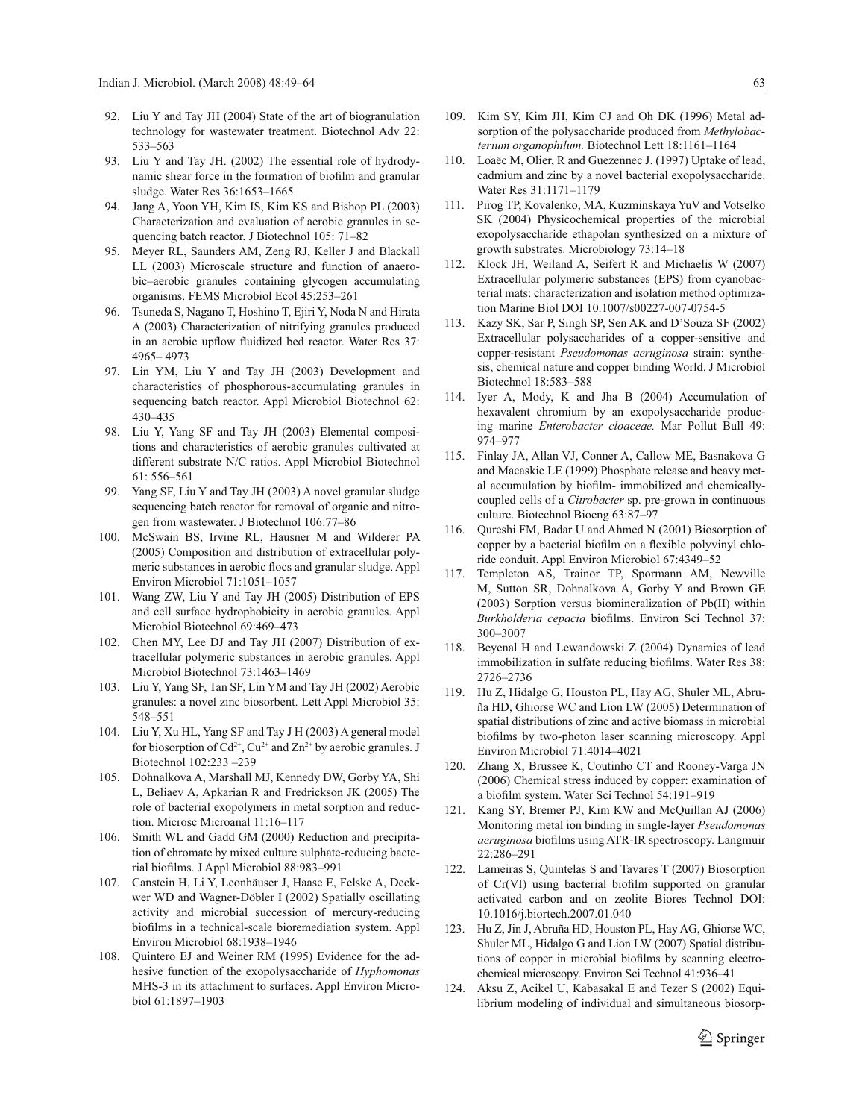- 92. Liu Y and Tay JH (2004) State of the art of biogranulation technology for wastewater treatment. Biotechnol Adv 22: 533–563
- 93. Liu Y and Tay JH. (2002) The essential role of hydrodynamic shear force in the formation of biofilm and granular sludge. Water Res 36:1653–1665
- 94. Jang A, Yoon YH, Kim IS, Kim KS and Bishop PL (2003) Characterization and evaluation of aerobic granules in sequencing batch reactor. J Biotechnol 105: 71–82
- 95. Meyer RL, Saunders AM, Zeng RJ, Keller J and Blackall LL (2003) Microscale structure and function of anaerobic–aerobic granules containing glycogen accumulating organisms. FEMS Microbiol Ecol 45:253–261
- 96. Tsuneda S, Nagano T, Hoshino T, Ejiri Y, Noda N and Hirata A (2003) Characterization of nitrifying granules produced in an aerobic upflow fluidized bed reactor. Water Res 37: 4965– 4973
- 97. Lin YM, Liu Y and Tay JH (2003) Development and characteristics of phosphorous-accumulating granules in sequencing batch reactor. Appl Microbiol Biotechnol 62: 430–435
- 98. Liu Y, Yang SF and Tay JH (2003) Elemental compositions and characteristics of aerobic granules cultivated at different substrate N/C ratios. Appl Microbiol Biotechnol 61: 556–561
- 99. Yang SF, Liu Y and Tay JH (2003) A novel granular sludge sequencing batch reactor for removal of organic and nitrogen from wastewater. J Biotechnol 106:77–86
- 100. McSwain BS, Irvine RL, Hausner M and Wilderer PA (2005) Composition and distribution of extracellular polymeric substances in aerobic flocs and granular sludge. Appl Environ Microbiol 71:1051–1057
- 101. Wang ZW, Liu Y and Tay JH (2005) Distribution of EPS and cell surface hydrophobicity in aerobic granules. Appl Microbiol Biotechnol 69:469–473
- 102. Chen MY, Lee DJ and Tay JH (2007) Distribution of extracellular polymeric substances in aerobic granules. Appl Microbiol Biotechnol 73:1463–1469
- 103. Liu Y, Yang SF, Tan SF, Lin YM and Tay JH (2002) Aerobic granules: a novel zinc biosorbent. Lett Appl Microbiol 35: 548–551
- 104. Liu Y, Xu HL, Yang SF and Tay J H (2003) A general model for biosorption of  $Cd^{2+}$ ,  $Cu^{2+}$  and  $Zn^{2+}$  by aerobic granules. J Biotechnol 102:233 –239
- 105. Dohnalkova A, Marshall MJ, Kennedy DW, Gorby YA, Shi L, Beliaev A, Apkarian R and Fredrickson JK (2005) The role of bacterial exopolymers in metal sorption and reduction. Microsc Microanal 11:16–117
- 106. Smith WL and Gadd GM (2000) Reduction and precipitation of chromate by mixed culture sulphate-reducing bacterial biofilms. J Appl Microbiol 88:983-991
- 107. Canstein H, Li Y, Leonhäuser J, Haase E, Felske A, Deckwer WD and Wagner-Döbler I (2002) Spatially oscillating activity and microbial succession of mercury-reducing biofilms in a technical-scale bioremediation system. Appl Environ Microbiol 68:1938–1946
- 108. Quintero EJ and Weiner RM (1995) Evidence for the adhesive function of the exopolysaccharide of *Hyphomonas* MHS-3 in its attachment to surfaces. Appl Environ Microbiol 61:1897–1903
- 109. Kim SY, Kim JH, Kim CJ and Oh DK (1996) Metal adsorption of the polysaccharide produced from *Methylobacterium organophilum.* Biotechnol Lett 18:1161–1164
- 110. Loaëc M, Olier, R and Guezennec J. (1997) Uptake of lead, cadmium and zinc by a novel bacterial exopolysaccharide. Water Res 31:1171–1179
- 111. Pirog TP, Kovalenko, MA, Kuzminskaya YuV and Votselko SK (2004) Physicochemical properties of the microbial exopolysaccharide ethapolan synthesized on a mixture of growth substrates. Microbiology 73:14–18
- 112. Klock JH, Weiland A, Seifert R and Michaelis W (2007) Extracellular polymeric substances (EPS) from cyanobacterial mats: characterization and isolation method optimization Marine Biol DOI 10.1007/s00227-007-0754-5
- 113. Kazy SK, Sar P, Singh SP, Sen AK and D'Souza SF (2002) Extracellular polysaccharides of a copper-sensitive and copper-resistant *Pseudomonas aeruginosa* strain: synthesis, chemical nature and copper binding World. J Microbiol Biotechnol 18:583–588
- 114. Iyer A, Mody, K and Jha B (2004) Accumulation of hexavalent chromium by an exopolysaccharide producing marine *Enterobacter cloaceae.* Mar Pollut Bull 49: 974–977
- 115. Finlay JA, Allan VJ, Conner A, Callow ME, Basnakova G and Macaskie LE (1999) Phosphate release and heavy metal accumulation by biofilm- immobilized and chemicallycoupled cells of a *Citrobacter* sp. pre-grown in continuous culture. Biotechnol Bioeng 63:87–97
- 116. Qureshi FM, Badar U and Ahmed N (2001) Biosorption of copper by a bacterial biofilm on a flexible polyvinyl chloride conduit. Appl Environ Microbiol 67:4349–52
- 117. Templeton AS, Trainor TP, Spormann AM, Newville M, Sutton SR, Dohnalkova A, Gorby Y and Brown GE (2003) Sorption versus biomineralization of Pb(II) within Burkholderia cepacia biofilms. Environ Sci Technol 37: 300–3007
- 118. Beyenal H and Lewandowski Z (2004) Dynamics of lead immobilization in sulfate reducing biofilms. Water Res 38: 2726–2736
- 119. Hu Z, Hidalgo G, Houston PL, Hay AG, Shuler ML, Abruña HD, Ghiorse WC and Lion LW (2005) Determination of spatial distributions of zinc and active biomass in microbial biofilms by two-photon laser scanning microscopy. Appl Environ Microbiol 71:4014–4021
- 120. Zhang X, Brussee K, Coutinho CT and Rooney-Varga JN (2006) Chemical stress induced by copper: examination of a biofilm system. Water Sci Technol 54:191-919
- 121. Kang SY, Bremer PJ, Kim KW and McQuillan AJ (2006) Monitoring metal ion binding in single-layer *Pseudomonas aeruginosa* biofilms using ATR-IR spectroscopy. Langmuir 22:286–291
- 122. Lameiras S, Quintelas S and Tavares T (2007) Biosorption of  $Cr(VI)$  using bacterial biofilm supported on granular activated carbon and on zeolite Biores Technol DOI: 10.1016/j.biortech.2007.01.040
- 123. Hu Z, Jin J, Abruña HD, Houston PL, Hay AG, Ghiorse WC, Shuler ML, Hidalgo G and Lion LW (2007) Spatial distributions of copper in microbial biofilms by scanning electrochemical microscopy. Environ Sci Technol 41:936–41
- 124. Aksu Z, Acikel U, Kabasakal E and Tezer S (2002) Equilibrium modeling of individual and simultaneous biosorp-